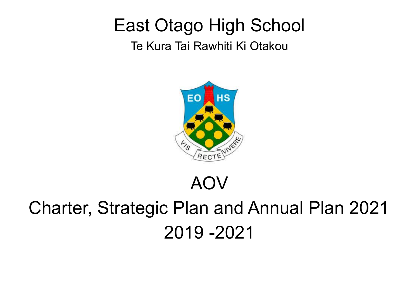## East Otago High School

Te Kura Tai Rawhiti Ki Otakou



### AOV

# Charter, Strategic Plan and Annual Plan 2021 2019 -2021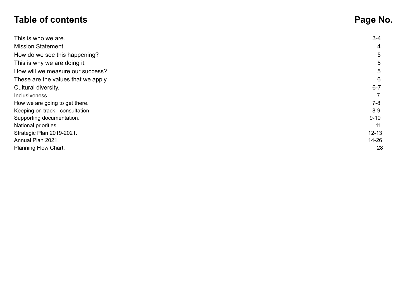### **Table of contents Page No.**

| This is who we are.                 | $3 - 4$        |
|-------------------------------------|----------------|
| <b>Mission Statement.</b>           | $\overline{4}$ |
| How do we see this happening?       | 5              |
| This is why we are doing it.        | 5              |
| How will we measure our success?    | 5              |
| These are the values that we apply. | 6              |
| Cultural diversity.                 | $6 - 7$        |
| Inclusiveness.                      |                |
| How we are going to get there.      | $7-8$          |
| Keeping on track - consultation.    | $8-9$          |
| Supporting documentation.           | $9 - 10$       |
| National priorities.                | 11             |
| Strategic Plan 2019-2021.           | $12 - 13$      |
| Annual Plan 2021.                   | $14 - 26$      |
| Planning Flow Chart.                | 28             |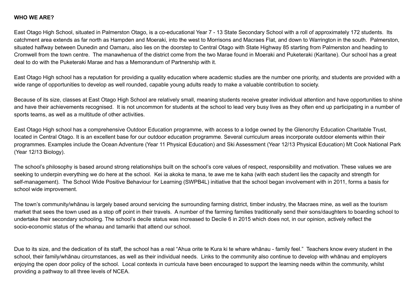#### **WHO WE ARE?**

East Otago High School, situated in Palmerston Otago, is a co-educational Year 7 - 13 State Secondary School with a roll of approximately 172 students. Its catchment area extends as far north as Hampden and Moeraki, into the west to Morrisons and Macraes Flat, and down to Warrington in the south. Palmerston, situated halfway between Dunedin and Oamaru, also lies on the doorstep to Central Otago with State Highway 85 starting from Palmerston and heading to Cromwell from the town centre. The manawhenua of the district come from the two Marae found in Moeraki and Puketeraki (Karitane). Our school has a great deal to do with the Puketeraki Marae and has a Memorandum of Partnership with it.

East Otago High school has a reputation for providing a quality education where academic studies are the number one priority, and students are provided with a wide range of opportunities to develop as well rounded, capable young adults ready to make a valuable contribution to society.

Because of its size, classes at East Otago High School are relatively small, meaning students receive greater individual attention and have opportunities to shine and have their achievements recognised. It is not uncommon for students at the school to lead very busy lives as they often end up participating in a number of sports teams, as well as a multitude of other activities.

East Otago High school has a comprehensive Outdoor Education programme, with access to a lodge owned by the Glenorchy Education Charitable Trust, located in Central Otago. It is an excellent base for our outdoor education programme. Several curriculum areas incorporate outdoor elements within their programmes. Examples include the Ocean Adventure (Year 11 Physical Education) and Ski Assessment (Year 12/13 Physical Education) Mt Cook National Park (Year 12/13 Biology).

The school's philosophy is based around strong relationships built on the school's core values of respect, responsibility and motivation. These values we are seeking to underpin everything we do here at the school. Kei ia akoka te mana, te awe me te kaha (with each student lies the capacity and strength for self-management). The School Wide Positive Behaviour for Learning (SWPB4L) initiative that the school began involvement with in 2011, forms a basis for school wide improvement.

The town's community/whānau is largely based around servicing the surrounding farming district, timber industry, the Macraes mine, as well as the tourism market that sees the town used as a stop off point in their travels. A number of the farming families traditionally send their sons/daughters to boarding school to undertake their secondary schooling. The school's decile status was increased to Decile 6 in 2015 which does not, in our opinion, actively reflect the socio-economic status of the whanau and tamariki that attend our school.

Due to its size, and the dedication of its staff, the school has a real "Ahua orite te Kura ki te whare whānau - family feel." Teachers know every student in the school, their family/whānau circumstances, as well as their individual needs. Links to the community also continue to develop with whānau and employers enjoying the open door policy of the school. Local contexts in curricula have been encouraged to support the learning needs within the community, whilst providing a pathway to all three levels of NCEA.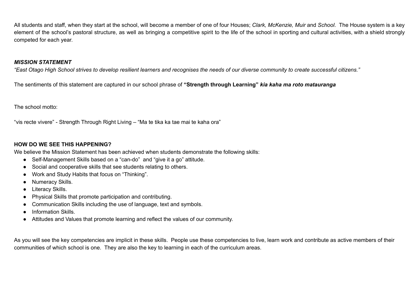All students and staff, when they start at the school, will become a member of one of four Houses; *Clark, McKenzie, Muir* and *School*. The House system is a key element of the school's pastoral structure, as well as bringing a competitive spirit to the life of the school in sporting and cultural activities, with a shield strongly competed for each year.

#### *MISSION STATEMENT*

"East Otago High School strives to develop resilient learners and recognises the needs of our diverse community to create successful citizens."

The sentiments of this statement are captured in our school phrase of **"Strength through Learning"** *kia kaha ma roto matauranga*

The school motto:

"vis recte vivere" - Strength Through Right Living – "Ma te tika ka tae mai te kaha ora"

#### **HOW DO WE SEE THIS HAPPENING?**

We believe the Mission Statement has been achieved when students demonstrate the following skills:

- Self-Management Skills based on a "can-do" and "give it a go" attitude.
- Social and cooperative skills that see students relating to others.
- Work and Study Habits that focus on "Thinking".
- Numeracy Skills.
- Literacy Skills.
- Physical Skills that promote participation and contributing.
- Communication Skills including the use of language, text and symbols.
- Information Skills.
- Attitudes and Values that promote learning and reflect the values of our community.

As you will see the key competencies are implicit in these skills. People use these competencies to live, learn work and contribute as active members of their communities of which school is one. They are also the key to learning in each of the curriculum areas.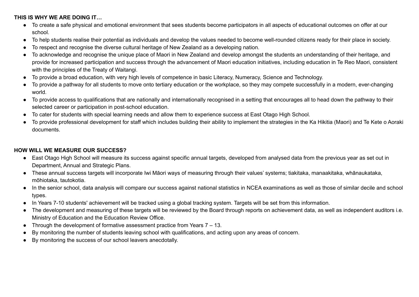#### **THIS IS WHY WE ARE DOING IT…**

- To create a safe physical and emotional environment that sees students become participators in all aspects of educational outcomes on offer at our school.
- To help students realise their potential as individuals and develop the values needed to become well-rounded citizens ready for their place in society.
- To respect and recognise the diverse cultural heritage of New Zealand as a developing nation.
- To acknowledge and recognise the unique place of Maori in New Zealand and develop amongst the students an understanding of their heritage, and provide for increased participation and success through the advancement of Maori education initiatives, including education in Te Reo Maori, consistent with the principles of the Treaty of Waitangi.
- To provide a broad education, with very high levels of competence in basic Literacy, Numeracy, Science and Technology.
- To provide a pathway for all students to move onto tertiary education or the workplace, so they may compete successfully in a modern, ever-changing world.
- To provide access to qualifications that are nationally and internationally recognised in a setting that encourages all to head down the pathway to their selected career or participation in post-school education.
- To cater for students with special learning needs and allow them to experience success at East Otago High School.
- To provide professional development for staff which includes building their ability to implement the strategies in the Ka Hikitia (Maori) and Te Kete o Aoraki documents.

#### **HOW WILL WE MEASURE OUR SUCCESS?**

- East Otago High School will measure its success against specific annual targets, developed from analysed data from the previous year as set out in Department, Annual and Strategic Plans.
- These annual success targets will incorporate Iwi Māori ways of measuring through their values' systems; tiakitaka, manaakitaka, whānaukataka, mōhiotaka, tautokotia.
- In the senior school, data analysis will compare our success against national statistics in NCEA examinations as well as those of similar decile and school types.
- In Years 7-10 students' achievement will be tracked using a global tracking system. Targets will be set from this information.
- The development and measuring of these targets will be reviewed by the Board through reports on achievement data, as well as independent auditors i.e. Ministry of Education and the Education Review Office.
- Through the development of formative assessment practice from Years  $7 13$ .
- By monitoring the number of students leaving school with qualifications, and acting upon any areas of concern.
- By monitoring the success of our school leavers anecdotally.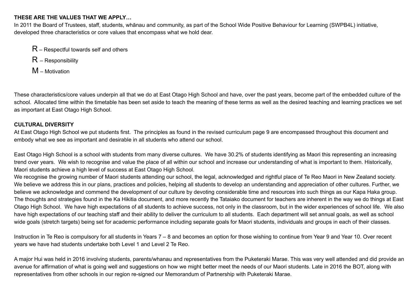#### **THESE ARE THE VALUES THAT WE APPLY…**

In 2011 the Board of Trustees, staff, students, whānau and community, as part of the School Wide Positive Behaviour for Learning (SWPB4L) initiative, developed three characteristics or core values that encompass what we hold dear.

- $R$  Respectful towards self and others
- R Responsibility
- M Motivation

These characteristics/core values underpin all that we do at East Otago High School and have, over the past years, become part of the embedded culture of the school. Allocated time within the timetable has been set aside to teach the meaning of these terms as well as the desired teaching and learning practices we set as important at East Otago High School.

#### **CULTURAL DIVERSITY**

At East Otago High School we put students first. The principles as found in the revised curriculum page 9 are encompassed throughout this document and embody what we see as important and desirable in all students who attend our school.

East Otago High School is a school with students from many diverse cultures. We have 30.2% of students identifying as Maori this representing an increasing trend over years. We wish to recognise and value the place of all within our school and increase our understanding of what is important to them. Historically, Maori students achieve a high level of success at East Otago High School.

We recognise the growing number of Maori students attending our school, the legal, acknowledged and rightful place of Te Reo Maori in New Zealand society. We believe we address this in our plans, practices and policies, helping all students to develop an understanding and appreciation of other cultures. Further, we believe we acknowledge and commend the development of our culture by devoting considerable time and resources into such things as our Kapa Haka group. The thoughts and strategies found in the Ka Hikitia document, and more recently the Tataiako document for teachers are inherent in the way we do things at East Otago High School. We have high expectations of all students to achieve success, not only in the classroom, but in the wider experiences of school life. We also have high expectations of our teaching staff and their ability to deliver the curriculum to all students. Each department will set annual goals, as well as school wide goals (stretch targets) being set for academic performance including separate goals for Maori students, individuals and groups in each of their classes.

Instruction in Te Reo is compulsory for all students in Years 7 – 8 and becomes an option for those wishing to continue from Year 9 and Year 10. Over recent years we have had students undertake both Level 1 and Level 2 Te Reo.

A major Hui was held in 2016 involving students, parents/whanau and representatives from the Puketeraki Marae. This was very well attended and did provide an avenue for affirmation of what is going well and suggestions on how we might better meet the needs of our Maori students. Late in 2016 the BOT, along with representatives from other schools in our region re-signed our Memorandum of Partnership with Puketeraki Marae.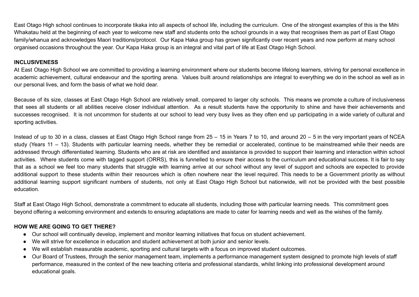East Otago High school continues to incorporate tikaka into all aspects of school life, including the curriculum. One of the strongest examples of this is the Mihi Whakatau held at the beginning of each year to welcome new staff and students onto the school grounds in a way that recognises them as part of East Otago family/whanua and acknowledges Maori traditions/protocol. Our Kapa Haka group has grown significantly over recent years and now perform at many school organised occasions throughout the year. Our Kapa Haka group is an integral and vital part of life at East Otago High School.

#### **INCLUSIVENESS**

At East Otago High School we are committed to providing a learning environment where our students become lifelong learners, striving for personal excellence in academic achievement, cultural endeavour and the sporting arena. Values built around relationships are integral to everything we do in the school as well as in our personal lives, and form the basis of what we hold dear.

Because of its size, classes at East Otago High School are relatively small, compared to larger city schools. This means we promote a culture of inclusiveness that sees all students or all abilities receive closer individual attention. As a result students have the opportunity to shine and have their achievements and successes recognised. It is not uncommon for students at our school to lead very busy lives as they often end up participating in a wide variety of cultural and sporting activities.

Instead of up to 30 in a class, classes at East Otago High School range from 25 – 15 in Years 7 to 10, and around 20 – 5 in the very important years of NCEA study (Years 11 – 13). Students with particular learning needs, whether they be remedial or accelerated, continue to be mainstreamed while their needs are addressed through differentiated learning. Students who are at risk are identified and assistance is provided to support their learning and interaction within school activities. Where students come with tagged support (ORRS), this is funnelled to ensure their access to the curriculum and educational success. It is fair to say that as a school we feel too many students that struggle with learning arrive at our school without any level of support and schools are expected to provide additional support to these students within their resources which is often nowhere near the level required. This needs to be a Government priority as without additional learning support significant numbers of students, not only at East Otago High School but nationwide, will not be provided with the best possible education.

Staff at East Otago High School, demonstrate a commitment to educate all students, including those with particular learning needs. This commitment goes beyond offering a welcoming environment and extends to ensuring adaptations are made to cater for learning needs and well as the wishes of the family.

#### **HOW WE ARE GOING TO GET THERE?**

- Our school will continually develop, implement and monitor learning initiatives that focus on student achievement.
- We will strive for excellence in education and student achievement at both junior and senior levels.
- We will establish measurable academic, sporting and cultural targets with a focus on improved student outcomes.
- Our Board of Trustees, through the senior management team, implements a performance management system designed to promote high levels of staff performance, measured in the context of the new teaching criteria and professional standards, whilst linking into professional development around educational goals.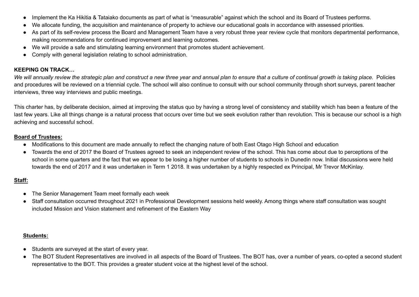- Implement the Ka Hikitia & Tataiako documents as part of what is "measurable" against which the school and its Board of Trustees performs.
- We allocate funding, the acquisition and maintenance of property to achieve our educational goals in accordance with assessed priorities.
- As part of its self-review process the Board and Management Team have a very robust three year review cycle that monitors departmental performance, making recommendations for continued improvement and learning outcomes.
- We will provide a safe and stimulating learning environment that promotes student achievement.
- Comply with general legislation relating to school administration.

#### **KEEPING ON TRACK…**

We will annually review the strategic plan and construct a new three year and annual plan to ensure that a culture of continual growth is taking place. Policies and procedures will be reviewed on a triennial cycle. The school will also continue to consult with our school community through short surveys, parent teacher interviews, three way interviews and public meetings.

This charter has, by deliberate decision, aimed at improving the status quo by having a strong level of consistency and stability which has been a feature of the last few years. Like all things change is a natural process that occurs over time but we seek evolution rather than revolution. This is because our school is a high achieving and successful school.

#### **Board of Trustees:**

- Modifications to this document are made annually to reflect the changing nature of both East Otago High School and education
- Towards the end of 2017 the Board of Trustees agreed to seek an independent review of the school. This has come about due to perceptions of the school in some quarters and the fact that we appear to be losing a higher number of students to schools in Dunedin now. Initial discussions were held towards the end of 2017 and it was undertaken in Term 1 2018. It was undertaken by a highly respected ex Principal, Mr Trevor McKinlay.

#### **Staff:**

- The Senior Management Team meet formally each week
- Staff consultation occurred throughout 2021 in Professional Development sessions held weekly. Among things where staff consultation was sought included Mission and Vision statement and refinement of the Eastern Way

#### **Students:**

- Students are surveyed at the start of every year.
- The BOT Student Representatives are involved in all aspects of the Board of Trustees. The BOT has, over a number of years, co-opted a second student representative to the BOT. This provides a greater student voice at the highest level of the school.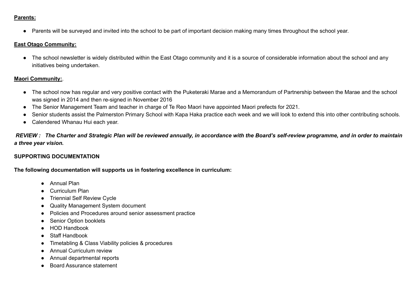#### **Parents:**

● Parents will be surveyed and invited into the school to be part of important decision making many times throughout the school year.

#### **East Otago Community:**

• The school newsletter is widely distributed within the East Otago community and it is a source of considerable information about the school and any initiatives being undertaken.

#### **Maori Community:**.

- The school now has regular and very positive contact with the Puketeraki Marae and a Memorandum of Partnership between the Marae and the school was signed in 2014 and then re-signed in November 2016
- The Senior Management Team and teacher in charge of Te Reo Maori have appointed Maori prefects for 2021.
- Senior students assist the Palmerston Primary School with Kapa Haka practice each week and we will look to extend this into other contributing schools.
- Calendered Whanau Hui each year.

REVIEW: The Charter and Strategic Plan will be reviewed annually, in accordance with the Board's self-review programme, and in order to maintain *a three year vision.*

#### **SUPPORTING DOCUMENTATION**

**The following documentation will supports us in fostering excellence in curriculum:**

- Annual Plan
- Curriculum Plan
- Triennial Self Review Cycle
- Quality Management System document
- Policies and Procedures around senior assessment practice
- Senior Option booklets
- HOD Handbook
- Staff Handbook
- Timetabling & Class Viability policies & procedures
- Annual Curriculum review
- Annual departmental reports
- **Board Assurance statement**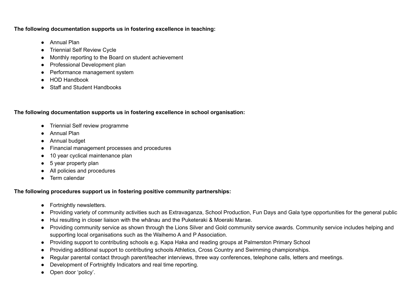**The following documentation supports us in fostering excellence in teaching:**

- Annual Plan
- Triennial Self Review Cycle
- Monthly reporting to the Board on student achievement
- Professional Development plan
- Performance management system
- HOD Handbook
- **Staff and Student Handbooks**

**The following documentation supports us in fostering excellence in school organisation:**

- Triennial Self review programme
- Annual Plan
- Annual budget
- Financial management processes and procedures
- 10 year cyclical maintenance plan
- $\bullet$  5 year property plan
- All policies and procedures
- Term calendar

#### **The following procedures support us in fostering positive community partnerships:**

- Fortnightly newsletters.
- Providing variety of community activities such as Extravaganza, School Production, Fun Days and Gala type opportunities for the general public
- Hui resulting in closer liaison with the whānau and the Puketeraki & Moeraki Marae.
- Providing community service as shown through the Lions Silver and Gold community service awards. Community service includes helping and supporting local organisations such as the Waihemo A and P Association.
- Providing support to contributing schools e.g. Kapa Haka and reading groups at Palmerston Primary School
- Providing additional support to contributing schools Athletics, Cross Country and Swimming championships.
- Regular parental contact through parent/teacher interviews, three way conferences, telephone calls, letters and meetings.
- Development of Fortnightly Indicators and real time reporting.
- Open door 'policy'.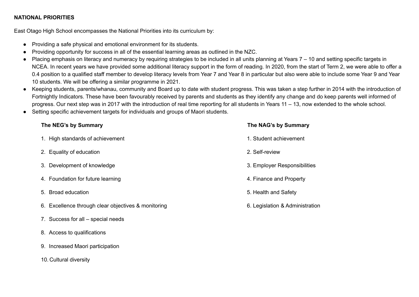#### **NATIONAL PRIORITIES**

East Otago High School encompasses the National Priorities into its curriculum by:

- Providing a safe physical and emotional environment for its students.
- Providing opportunity for success in all of the essential learning areas as outlined in the NZC.
- Placing emphasis on literacy and numeracy by requiring strategies to be included in all units planning at Years 7 10 and setting specific targets in NCEA. In recent years we have provided some additional literacy support in the form of reading. In 2020, from the start of Term 2, we were able to offer a 0.4 position to a qualified staff member to develop literacy levels from Year 7 and Year 8 in particular but also were able to include some Year 9 and Year 10 students. We will be offering a similar programme in 2021.
- Keeping students, parents/whanau, community and Board up to date with student progress. This was taken a step further in 2014 with the introduction of Fortnightly Indicators. These have been favourably received by parents and students as they identify any change and do keep parents well informed of progress. Our next step was in 2017 with the introduction of real time reporting for all students in Years 11 – 13, now extended to the whole school.
- Setting specific achievement targets for individuals and groups of Maori students.

#### **The NEG's by Summary The NAG's by Summary**

| 1. High standards of achievement                    | 1. Student achievement          |
|-----------------------------------------------------|---------------------------------|
| 2. Equality of education                            | 2. Self-review                  |
| 3. Development of knowledge                         | 3. Employer Responsibilities    |
| 4. Foundation for future learning                   | 4. Finance and Property         |
| 5. Broad education                                  | 5. Health and Safety            |
| 6. Excellence through clear objectives & monitoring | 6. Legislation & Administration |
| 7. Success for all – special needs                  |                                 |

- 8. Access to qualifications
- 9. Increased Maori participation
- 10. Cultural diversity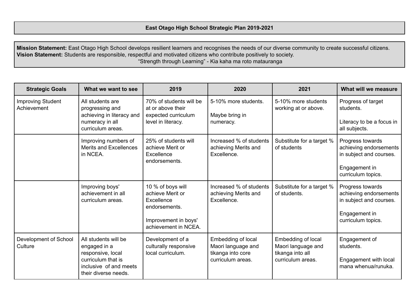**Mission Statement:** East Otago High School develops resilient learners and recognises the needs of our diverse community to create successful citizens. **Vision Statement:** Students are responsible, respectful and motivated citizens who contribute positively to society. "Strength through Learning" - Kia kaha ma roto matauranga

| <b>Strategic Goals</b><br>What we want to see                                                                                                       |                                                                                                                                   | 2019                                                                                                                 | 2020                                                                               | 2021                                                                              | What will we measure                                                                                         |
|-----------------------------------------------------------------------------------------------------------------------------------------------------|-----------------------------------------------------------------------------------------------------------------------------------|----------------------------------------------------------------------------------------------------------------------|------------------------------------------------------------------------------------|-----------------------------------------------------------------------------------|--------------------------------------------------------------------------------------------------------------|
| <b>Improving Student</b><br>All students are<br>Achievement<br>progressing and<br>achieving in literacy and<br>numeracy in all<br>curriculum areas. |                                                                                                                                   | 70% of students will be<br>at or above their<br>expected curriculum<br>level in literacy.                            | 5-10% more students.<br>Maybe bring in<br>numeracy.                                | 5-10% more students<br>working at or above.                                       | Progress of target<br>students.<br>Literacy to be a focus in<br>all subjects.                                |
|                                                                                                                                                     | Improving numbers of<br><b>Merits and Excellences</b><br>in NCEA.                                                                 | 25% of students will<br>achieve Merit or<br>Excellence<br>endorsements.                                              | Increased % of students<br>achieving Merits and<br>Excellence.                     | Substitute for a target %<br>of students                                          | Progress towards<br>achieving endorsements<br>in subject and courses.<br>Engagement in<br>curriculum topics. |
|                                                                                                                                                     | Improving boys'<br>achievement in all<br>curriculum areas.                                                                        | 10 % of boys will<br>achieve Merit or<br>Excellence<br>endorsements.<br>Improvement in boys'<br>achievement in NCEA. | Increased % of students<br>achieving Merits and<br>Excellence.                     | Substitute for a target %<br>of students.                                         | Progress towards<br>achieving endorsements<br>in subject and courses.<br>Engagement in<br>curriculum topics. |
| Development of School<br>Culture                                                                                                                    | All students will be<br>engaged in a<br>responsive, local<br>curriculum that is<br>inclusive of and meets<br>their diverse needs. | Development of a<br>culturally responsive<br>local curriculum.                                                       | Embedding of local<br>Maori language and<br>tikanga into core<br>curriculum areas. | Embedding of local<br>Maori language and<br>tikanga into all<br>curriculum areas. | Engagement of<br>students.<br>Engagement with local<br>mana whenua/runuka.                                   |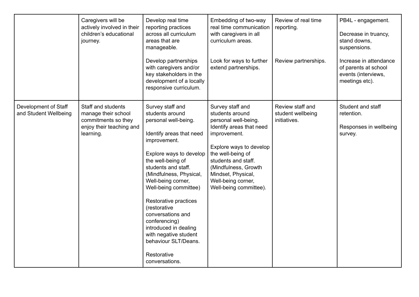|                                               | Caregivers will be<br>actively involved in their<br>children's educational<br>journey.                    | Develop real time<br>reporting practices<br>across all curriculum<br>areas that are<br>manageable.<br>Develop partnerships<br>with caregivers and/or<br>key stakeholders in the<br>development of a locally<br>responsive curriculum.                                                                                                                                                                                                              | Embedding of two-way<br>real time communication<br>with caregivers in all<br>curriculum areas.<br>Look for ways to further<br>extend partnerships.                                                                                                                           | Review of real time<br>reporting.<br>Review partnerships. | PB4L - engagement.<br>Decrease in truancy,<br>stand downs,<br>suspensions.<br>Increase in attendance<br>of parents at school<br>events (interviews,<br>meetings etc). |
|-----------------------------------------------|-----------------------------------------------------------------------------------------------------------|----------------------------------------------------------------------------------------------------------------------------------------------------------------------------------------------------------------------------------------------------------------------------------------------------------------------------------------------------------------------------------------------------------------------------------------------------|------------------------------------------------------------------------------------------------------------------------------------------------------------------------------------------------------------------------------------------------------------------------------|-----------------------------------------------------------|-----------------------------------------------------------------------------------------------------------------------------------------------------------------------|
| Development of Staff<br>and Student Wellbeing | Staff and students<br>manage their school<br>commitments so they<br>enjoy their teaching and<br>learning. | Survey staff and<br>students around<br>personal well-being.<br>Identify areas that need<br>improvement.<br>Explore ways to develop<br>the well-being of<br>students and staff.<br>(Mindfulness, Physical,<br>Well-being corner,<br>Well-being committee)<br>Restorative practices<br>(restorative<br>conversations and<br>conferencing)<br>introduced in dealing<br>with negative student<br>behaviour SLT/Deans.<br>Restorative<br>conversations. | Survey staff and<br>students around<br>personal well-being.<br>Identify areas that need<br>improvement.<br>Explore ways to develop<br>the well-being of<br>students and staff.<br>(Mindfulness, Growth<br>Mindset, Physical,<br>Well-being corner,<br>Well-being committee). | Review staff and<br>student wellbeing<br>initiatives.     | Student and staff<br>retention.<br>Responses in wellbeing<br>survey.                                                                                                  |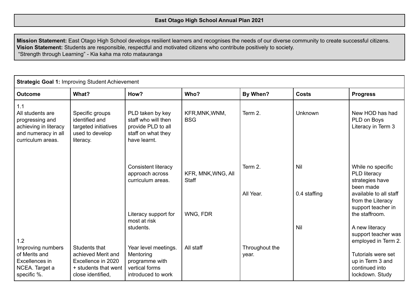**Mission Statement:** East Otago High School develops resilient learners and recognises the needs of our diverse community to create successful citizens. **Vision Statement:** Students are responsible, respectful and motivated citizens who contribute positively to society. "Strength through Learning" - Kia kaha ma roto matauranga

|                                                                                                                 | <b>Strategic Goal 1: Improving Student Achievement</b>                                                 |                                                                                                     |                              |                         |                     |                                                                                                                                        |  |  |
|-----------------------------------------------------------------------------------------------------------------|--------------------------------------------------------------------------------------------------------|-----------------------------------------------------------------------------------------------------|------------------------------|-------------------------|---------------------|----------------------------------------------------------------------------------------------------------------------------------------|--|--|
| <b>Outcome</b>                                                                                                  | What?                                                                                                  | How?                                                                                                | Who?                         | By When?                | <b>Costs</b>        | <b>Progress</b>                                                                                                                        |  |  |
| 1.1<br>All students are<br>progressing and<br>achieving in literacy<br>and numeracy in all<br>curriculum areas. | Specific groups<br>identified and<br>targeted initiatives<br>used to develop<br>literacy.              | PLD taken by key<br>staff who will then<br>provide PLD to all<br>staff on what they<br>have learnt. | KFR, MNK, WNM,<br><b>BSG</b> | Term 2.                 | Unknown             | New HOD has had<br>PLD on Boys<br>Literacy in Term 3                                                                                   |  |  |
|                                                                                                                 |                                                                                                        | <b>Consistent literacy</b><br>approach across<br>curriculum areas.                                  | KFR, MNK, WNG, All<br>Staff  | Term 2.<br>All Year.    | Nil<br>0.4 staffing | While no specific<br>PLD literacy<br>strategies have<br>been made<br>available to all staff<br>from the Literacy<br>support teacher in |  |  |
| 1.2                                                                                                             |                                                                                                        | Literacy support for<br>most at risk<br>students.                                                   | WNG, FDR                     |                         | Nil                 | the staffroom.<br>A new literacy<br>support teacher was<br>employed in Term 2.                                                         |  |  |
| Improving numbers<br>of Merits and<br>Excellences in<br>NCEA. Target a<br>specific %.                           | Students that<br>achieved Merit and<br>Excellence in 2020<br>+ students that went<br>close identified, | Year level meetings.<br>Mentoring<br>programme with<br>vertical forms<br>introduced to work         | All staff                    | Throughout the<br>year. |                     | Tutorials were set<br>up in Term 3 and<br>continued into<br>lockdown. Study                                                            |  |  |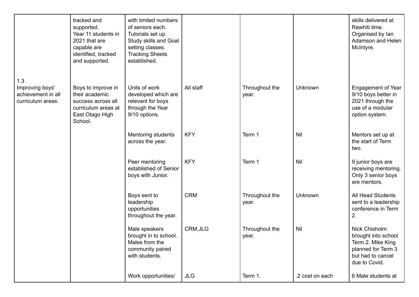|                                                            | tracked and<br>supported.<br>Year 11 students in<br>2021 that are<br>capable are<br>identified, tracked<br>and supported. | with limited numbers<br>of seniors each.<br>Tutorials set up.<br>Study skills and Goal<br>setting classes.<br><b>Tracking Sheets</b><br>established. |            |                         |                 | skills delivered at<br>Rawhiti time.<br>Organised by lan<br>Adamson and Helen<br>McIntyre.                            |
|------------------------------------------------------------|---------------------------------------------------------------------------------------------------------------------------|------------------------------------------------------------------------------------------------------------------------------------------------------|------------|-------------------------|-----------------|-----------------------------------------------------------------------------------------------------------------------|
| 1.3                                                        |                                                                                                                           |                                                                                                                                                      |            |                         |                 |                                                                                                                       |
| Improving boys'<br>achievement in all<br>curriculum areas. | Boys to improve in<br>their academic<br>success across all<br>curriculum areas at<br>East Otago High<br>School.           | Units of work<br>developed which are<br>relevant for boys<br>through the Year<br>9/10 options.                                                       | All staff  | Throughout the<br>year. | Unknown         | <b>Engagement of Year</b><br>9/10 boys better in<br>2021 through the<br>use of a modular<br>option system.            |
|                                                            |                                                                                                                           | Mentoring students<br>across the year.                                                                                                               | <b>KFY</b> | Term 1                  | Nil             | Mentors set up at<br>the start of Term<br>two.                                                                        |
|                                                            |                                                                                                                           | Peer mentoring<br>established of Senior<br>boys with Junior.                                                                                         | <b>KFY</b> | Term 1                  | Nil             | 9 junior boys are<br>receiving mentoring.<br>Only 3 senior boys<br>are mentors.                                       |
|                                                            |                                                                                                                           | Boys sent to<br>leadership<br>opportunities<br>throughout the year.                                                                                  | <b>CRM</b> | Throughout the<br>year. | Unknown         | All Head Students<br>sent to a leadership<br>conference in Term<br>2.                                                 |
|                                                            |                                                                                                                           | Male speakers<br>brought in to school.<br>Males from the<br>community paired<br>with students.                                                       | CRM, JLG   | Throughout the<br>year. | Nil             | Nick Chisholm<br>brought into school<br>Term 2. Mike King<br>planned for Term 3<br>but had to cancel<br>due to Covid. |
|                                                            |                                                                                                                           | Work opportunities/                                                                                                                                  | <b>JLG</b> | Term 1.                 | .2 cost on each | 6 Male students at                                                                                                    |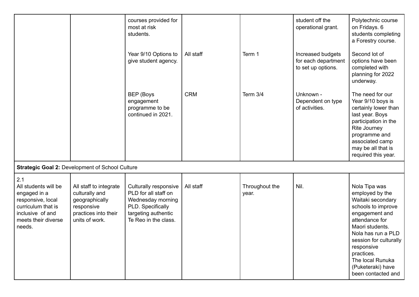|                                                                                                                                             |                                                                                                                    | courses provided for<br>most at risk<br>students.                                                                                      |            |                         | student off the<br>operational grant.                          | Polytechnic course<br>on Fridays. 6<br>students completing<br>a Forestry course.                                                                                                                                                                                              |
|---------------------------------------------------------------------------------------------------------------------------------------------|--------------------------------------------------------------------------------------------------------------------|----------------------------------------------------------------------------------------------------------------------------------------|------------|-------------------------|----------------------------------------------------------------|-------------------------------------------------------------------------------------------------------------------------------------------------------------------------------------------------------------------------------------------------------------------------------|
|                                                                                                                                             |                                                                                                                    | Year 9/10 Options to<br>give student agency.                                                                                           | All staff  | Term 1                  | Increased budgets<br>for each department<br>to set up options. | Second lot of<br>options have been<br>completed with<br>planning for 2022<br>underway.                                                                                                                                                                                        |
|                                                                                                                                             |                                                                                                                    | <b>BEP</b> (Boys<br>engagement<br>programme to be<br>continued in 2021.                                                                | <b>CRM</b> | Term $3/4$              | Unknown -<br>Dependent on type<br>of activities.               | The need for our<br>Year 9/10 boys is<br>certainly lower than<br>last year. Boys<br>participation in the<br>Rite Journey<br>programme and<br>associated camp<br>may be all that is<br>required this year.                                                                     |
|                                                                                                                                             | <b>Strategic Goal 2: Development of School Culture</b>                                                             |                                                                                                                                        |            |                         |                                                                |                                                                                                                                                                                                                                                                               |
| 2.1<br>All students will be<br>engaged in a<br>responsive, local<br>curriculum that is<br>inclusive of and<br>meets their diverse<br>needs. | All staff to integrate<br>culturally and<br>geographically<br>responsive<br>practices into their<br>units of work. | Culturally responsive<br>PLD for all staff on<br>Wednesday morning<br>PLD. Specifically<br>targeting authentic<br>Te Reo in the class. | All staff  | Throughout the<br>year. | Nil.                                                           | Nola Tipa was<br>employed by the<br>Waitaki secondary<br>schools to improve<br>engagement and<br>attendance for<br>Maori students.<br>Nola has run a PLD<br>session for culturally<br>responsive<br>practices.<br>The local Runuka<br>(Puketeraki) have<br>been contacted and |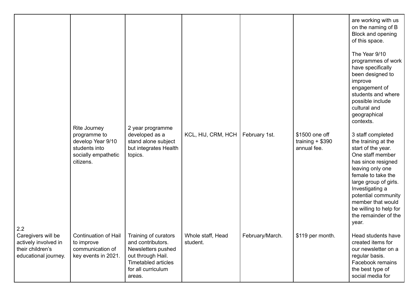|                                                                                        | Rite Journey<br>programme to<br>develop Year 9/10<br>students into<br>socially empathetic<br>citizens. | 2 year programme<br>developed as a<br>stand alone subject<br>but integrates Health<br>topics.                              | KCL, HIJ, CRM, HCH            | February 1st.   | \$1500 one off<br>training $+$ \$390<br>annual fee. | are working with us<br>on the naming of B<br>Block and opening<br>of this space.<br>The Year 9/10<br>programmes of work<br>have specifically<br>been designed to<br>improve<br>engagement of<br>students and where<br>possible include<br>cultural and<br>geographical<br>contexts.<br>3 staff completed<br>the training at the<br>start of the year.<br>One staff member<br>has since resigned |
|----------------------------------------------------------------------------------------|--------------------------------------------------------------------------------------------------------|----------------------------------------------------------------------------------------------------------------------------|-------------------------------|-----------------|-----------------------------------------------------|-------------------------------------------------------------------------------------------------------------------------------------------------------------------------------------------------------------------------------------------------------------------------------------------------------------------------------------------------------------------------------------------------|
| 2.2                                                                                    |                                                                                                        |                                                                                                                            |                               |                 |                                                     | leaving only one<br>female to take the<br>large group of girls.<br>Investigating a<br>potential community<br>member that would<br>be willing to help for<br>the remainder of the<br>year.                                                                                                                                                                                                       |
| Caregivers will be<br>actively involved in<br>their children's<br>educational journey. | Continuation of Hail   Training of curators<br>to improve<br>communication of<br>key events in 2021.   | and contributors.<br>Newsletters pushed<br>out through Hail.<br><b>Timetabled articles</b><br>for all curriculum<br>areas. | Whole staff, Head<br>student. | February/March. | \$119 per month.                                    | Head students have<br>created items for<br>our newsletter on a<br>regular basis.<br>Facebook remains<br>the best type of<br>social media for                                                                                                                                                                                                                                                    |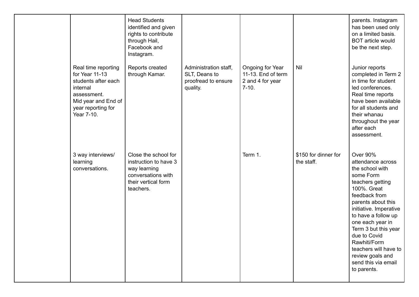|                                                                                                                                                    | <b>Head Students</b><br>identified and given<br>rights to contribute<br>through Hail,<br>Facebook and<br>Instagram.     |                                                                           |                                                                       |                                    | parents. Instagram<br>has been used only<br>on a limited basis.<br><b>BOT</b> article would<br>be the next step.                                                                                                                                                                                                                                               |
|----------------------------------------------------------------------------------------------------------------------------------------------------|-------------------------------------------------------------------------------------------------------------------------|---------------------------------------------------------------------------|-----------------------------------------------------------------------|------------------------------------|----------------------------------------------------------------------------------------------------------------------------------------------------------------------------------------------------------------------------------------------------------------------------------------------------------------------------------------------------------------|
| Real time reporting<br>for Year 11-13<br>students after each<br>internal<br>assessment.<br>Mid year and End of<br>year reporting for<br>Year 7-10. | Reports created<br>through Kamar.                                                                                       | Administration staff,<br>SLT, Deans to<br>proofread to ensure<br>quality. | Ongoing for Year<br>11-13. End of term<br>2 and 4 for year<br>$7-10.$ | Nil                                | Junior reports<br>completed in Term 2<br>in time for student<br>led conferences.<br>Real time reports<br>have been available<br>for all students and<br>their whanau<br>throughout the year<br>after each<br>assessment.                                                                                                                                       |
| 3 way interviews/<br>learning<br>conversations.                                                                                                    | Close the school for<br>instruction to have 3<br>way learning<br>conversations with<br>their vertical form<br>teachers. |                                                                           | Term 1.                                                               | \$150 for dinner for<br>the staff. | <b>Over 90%</b><br>attendance across<br>the school with<br>some Form<br>teachers getting<br>100%. Great<br>feedback from<br>parents about this<br>initiative. Imperative<br>to have a follow up<br>one each year in<br>Term 3 but this year<br>due to Covid<br>Rawhiti/Form<br>teachers will have to<br>review goals and<br>send this via email<br>to parents. |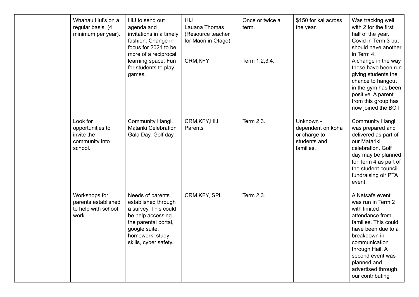| Whanau Hui's on a<br>regular basis. (4<br>minimum per year).            | HIJ to send out<br>agenda and<br>invitations in a timely<br>fashion. Change in<br>focus for 2021 to be<br>more of a reciprocal<br>learning space. Fun<br>for students to play<br>games. | <b>HIJ</b><br>Lauana Thomas<br>(Resource teacher<br>for Maori in Otago).<br>CRM, KFY | Once or twice a<br>term.<br>Term 1, 2, 3, 4. | \$150 for kai across<br>the year.                                           | Was tracking well<br>with 2 for the first<br>half of the year.<br>Covid in Term 3 but<br>should have another<br>in Term 4.<br>A change in the way<br>these have been run<br>giving students the<br>chance to hangout<br>in the gym has been<br>positive. A parent<br>from this group has<br>now joined the BOT. |
|-------------------------------------------------------------------------|-----------------------------------------------------------------------------------------------------------------------------------------------------------------------------------------|--------------------------------------------------------------------------------------|----------------------------------------------|-----------------------------------------------------------------------------|-----------------------------------------------------------------------------------------------------------------------------------------------------------------------------------------------------------------------------------------------------------------------------------------------------------------|
| Look for<br>opportunities to<br>invite the<br>community into<br>school. | Community Hangi.<br><b>Matariki Celebration</b><br>Gala Day, Golf day.                                                                                                                  | CRM, KFY, HIJ,<br>Parents                                                            | Term 2,3.                                    | Unknown -<br>dependent on koha<br>or charge to<br>students and<br>families. | <b>Community Hangi</b><br>was prepared and<br>delivered as part of<br>our Matariki<br>celebration. Golf<br>day may be planned<br>for Term 4 as part of<br>the student council<br>fundraising oir PTA<br>event.                                                                                                  |
| Workshops for<br>parents established<br>to help with school<br>work.    | Needs of parents<br>established through<br>a survey. This could<br>be help accessing<br>the parental portal,<br>google suite,<br>homework, study<br>skills, cyber safety.               | CRM, KFY, SPL                                                                        | Term 2,3.                                    |                                                                             | A Netsafe event<br>was run in Term 2<br>with limited<br>attendance from<br>families. This could<br>have been due to a<br>breakdown in<br>communication<br>through Hail. A<br>second event was<br>planned and<br>advertised through<br>our contributing                                                          |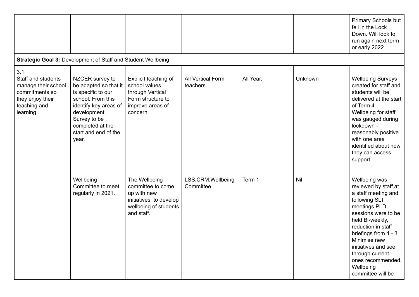|                                                                                                                     |                                                                                                                                                                                                   |                                                                                                                    |                                   |           |         | Primary Schools but<br>fell in the Lock<br>Down. Will look to<br>run again next term<br>or early 2022                                                                                                                                                                                                   |  |  |  |  |  |  |
|---------------------------------------------------------------------------------------------------------------------|---------------------------------------------------------------------------------------------------------------------------------------------------------------------------------------------------|--------------------------------------------------------------------------------------------------------------------|-----------------------------------|-----------|---------|---------------------------------------------------------------------------------------------------------------------------------------------------------------------------------------------------------------------------------------------------------------------------------------------------------|--|--|--|--|--|--|
|                                                                                                                     | Strategic Goal 3: Development of Staff and Student Wellbeing                                                                                                                                      |                                                                                                                    |                                   |           |         |                                                                                                                                                                                                                                                                                                         |  |  |  |  |  |  |
| 3.1<br>Staff and students<br>manage their school<br>commitments so<br>they enjoy their<br>teaching and<br>learning. | NZCER survey to<br>be adapted so that it<br>is specific to our<br>school. From this<br>identify key areas of<br>development.<br>Survey to be<br>completed at the<br>start and end of the<br>year. | Explicit teaching of<br>school values<br>through Vertical<br>Form structure to<br>improve areas of<br>concern.     | All Vertical Form<br>teachers.    | All Year. | Unknown | <b>Wellbeing Surveys</b><br>created for staff and<br>students will be<br>delivered at the start<br>of Term 4.<br>Wellbeing for staff<br>was gauged during<br>lockdown -<br>reasonably positive<br>with one area<br>identified about how<br>they can access<br>support.                                  |  |  |  |  |  |  |
|                                                                                                                     | Wellbeing<br>Committee to meet<br>regularly in 2021.                                                                                                                                              | The Wellbeing<br>committee to come<br>up with new<br>initiatives to develop<br>wellbeing of students<br>and staff. | LSS, CRM, Wellbeing<br>Committee. | Term 1    | Nil     | Wellbeing was<br>reviewed by staff at<br>a staff meeting and<br>following SLT<br>meetings PLD<br>sessions were to be<br>held Bi-weekly,<br>reduction in staff<br>briefings from 4 - 3.<br>Minimise new<br>initiatives and see<br>through current<br>ones recommended.<br>Wellbeing<br>committee will be |  |  |  |  |  |  |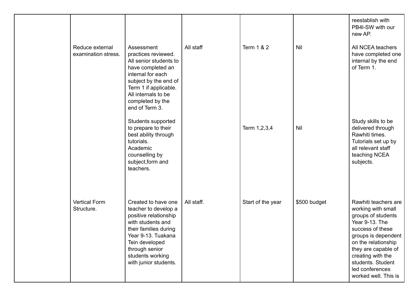|  |                                        |                                                                                                                                                                                                                           |            |                   |              | reestablish with<br>PB4I-SW with our<br>new AP.                                                                                                                                                                                                                  |
|--|----------------------------------------|---------------------------------------------------------------------------------------------------------------------------------------------------------------------------------------------------------------------------|------------|-------------------|--------------|------------------------------------------------------------------------------------------------------------------------------------------------------------------------------------------------------------------------------------------------------------------|
|  | Reduce external<br>examination stress. | Assessment<br>practices reviewed.<br>All senior students to<br>have completed an<br>internal for each<br>subject by the end of<br>Term 1 if applicable.<br>All internals to be<br>completed by the<br>end of Term 3.      | All staff  | Term 1 & 2        | Nil          | All NCEA teachers<br>have completed one<br>internal by the end<br>of Term 1.                                                                                                                                                                                     |
|  |                                        | Students supported<br>to prepare to their<br>best ability through<br>tutorials.<br>Academic<br>counselling by<br>subject, form and<br>teachers.                                                                           |            | Term 1,2,3,4      | <b>Nil</b>   | Study skills to be<br>delivered through<br>Rawhiti times.<br>Tutorials set up by<br>all relevant staff<br>teaching NCEA<br>subjects.                                                                                                                             |
|  | <b>Vertical Form</b><br>Structure.     | Created to have one<br>teacher to develop a<br>positive relationship<br>with students and<br>their families during<br>Year 9-13. Tuakana<br>Tein developed<br>through senior<br>students working<br>with junior students. | All staff. | Start of the year | \$500 budget | Rawhiti teachers are<br>working with small<br>groups of students<br>Year 9-13. The<br>success of these<br>groups is dependent<br>on the relationship<br>they are capable of<br>creating with the<br>students. Student<br>led conferences<br>worked well. This is |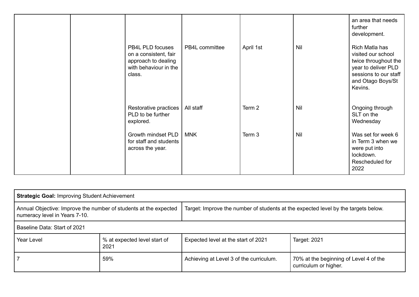|                                                                                                     |                |           |     | an area that needs<br>further<br>development.                                                                                                |
|-----------------------------------------------------------------------------------------------------|----------------|-----------|-----|----------------------------------------------------------------------------------------------------------------------------------------------|
| PB4L PLD focuses<br>on a consistent, fair<br>approach to dealing<br>with behaviour in the<br>class. | PB4L committee | April 1st | Nil | Rich Matla has<br>visited our school<br>twice throughout the<br>year to deliver PLD<br>sessions to our staff<br>and Otago Boys/St<br>Kevins. |
| Restorative practices<br>PLD to be further<br>explored.                                             | All staff      | Term 2    | Nil | Ongoing through<br>SLT on the<br>Wednesday                                                                                                   |
| Growth mindset PLD<br>for staff and students<br>across the year.                                    | <b>MNK</b>     | Term 3    | Nil | Was set for week 6<br>in Term 3 when we<br>were put into<br>lockdown.<br>Rescheduled for<br>2022                                             |

| <b>Strategic Goal: Improving Student Achievement</b>                                              |                                      |                                                                                    |                                                                 |  |
|---------------------------------------------------------------------------------------------------|--------------------------------------|------------------------------------------------------------------------------------|-----------------------------------------------------------------|--|
| Annual Objective: Improve the number of students at the expected<br>numeracy level in Years 7-10. |                                      | Target: Improve the number of students at the expected level by the targets below. |                                                                 |  |
| Baseline Data: Start of 2021                                                                      |                                      |                                                                                    |                                                                 |  |
| <b>Year Level</b>                                                                                 | % at expected level start of<br>2021 | Expected level at the start of 2021                                                | Target: 2021                                                    |  |
|                                                                                                   | 59%                                  | Achieving at Level 3 of the curriculum.                                            | 70% at the beginning of Level 4 of the<br>curriculum or higher. |  |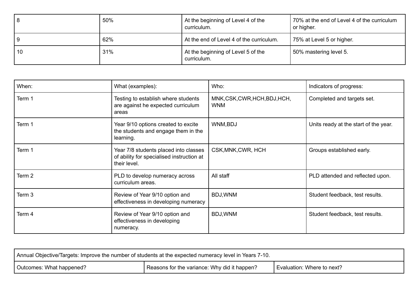|    | 50% | At the beginning of Level 4 of the<br>curriculum. | 70% at the end of Level 4 of the curriculum<br>or higher. |
|----|-----|---------------------------------------------------|-----------------------------------------------------------|
|    | 62% | At the end of Level 4 of the curriculum.          | 75% at Level 5 or higher.                                 |
| 10 | 31% | At the beginning of Level 5 of the<br>curriculum. | 50% mastering level 5.                                    |

| When:             | What (examples):                                                                                   | Who:                                   | Indicators of progress:               |
|-------------------|----------------------------------------------------------------------------------------------------|----------------------------------------|---------------------------------------|
| Term 1            | Testing to establish where students<br>are against he expected curriculum<br>areas                 | MNK,CSK,CWR,HCH,BDJ,HCH,<br><b>WNM</b> | Completed and targets set.            |
| Term 1            | Year 9/10 options created to excite<br>the students and engage them in the<br>learning.            | WNM, BDJ                               | Units ready at the start of the year. |
| Term 1            | Year 7/8 students placed into classes<br>of ability for specialised instruction at<br>their level. | CSK, MNK, CWR, HCH                     | Groups established early.             |
| Term <sub>2</sub> | PLD to develop numeracy across<br>curriculum areas.                                                | All staff                              | PLD attended and reflected upon.      |
| Term <sub>3</sub> | Review of Year 9/10 option and<br>effectiveness in developing numeracy                             | BDJ, WNM                               | Student feedback, test results.       |
| Term 4            | Review of Year 9/10 option and<br>effectiveness in developing<br>numeracy.                         | BDJ, WNM                               | Student feedback, test results.       |

| Annual Objective/Targets: Improve the number of students at the expected numeracy level in Years 7-10. |  |                            |  |
|--------------------------------------------------------------------------------------------------------|--|----------------------------|--|
| Reasons for the variance: Why did it happen?<br>Outcomes: What happened?                               |  | Evaluation: Where to next? |  |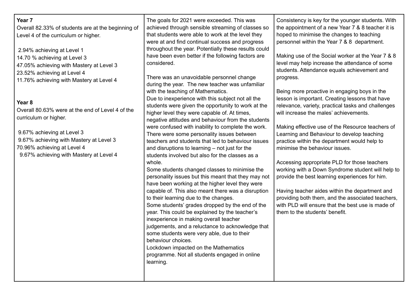| Year <sub>7</sub><br>Overall 82.33% of students are at the beginning of<br>Level 4 of the curriculum or higher.<br>2.94% achieving at Level 1                                                                                                     | The goals for 2021 were exceeded. This was<br>achieved through sensible streaming of classes so<br>that students were able to work at the level they<br>were at and find continual success and progress<br>throughout the year. Potentially these results could                                                                                                                                                                                                                                                                                                                                                                                                                                                                                                                                                                                                                                                                                                                                                                                                                                                                                                      | Consistency is key for the younger students. With<br>the appointment of a new Year 7 & 8 teacher it is<br>hoped to minimise the changes to teaching<br>personnel within the Year 7 & 8 department.                                                                                                                                                                                                                                                                                                                                                                                                                                                                                                                                       |
|---------------------------------------------------------------------------------------------------------------------------------------------------------------------------------------------------------------------------------------------------|----------------------------------------------------------------------------------------------------------------------------------------------------------------------------------------------------------------------------------------------------------------------------------------------------------------------------------------------------------------------------------------------------------------------------------------------------------------------------------------------------------------------------------------------------------------------------------------------------------------------------------------------------------------------------------------------------------------------------------------------------------------------------------------------------------------------------------------------------------------------------------------------------------------------------------------------------------------------------------------------------------------------------------------------------------------------------------------------------------------------------------------------------------------------|------------------------------------------------------------------------------------------------------------------------------------------------------------------------------------------------------------------------------------------------------------------------------------------------------------------------------------------------------------------------------------------------------------------------------------------------------------------------------------------------------------------------------------------------------------------------------------------------------------------------------------------------------------------------------------------------------------------------------------------|
| 14.70 % achieving at Level 3<br>47.05% achieving with Mastery at Level 3<br>23.52% achieving at Level 4<br>11.76% achieving with Mastery at Level 4                                                                                               | have been even better if the following factors are<br>considered.<br>There was an unavoidable personnel change<br>during the year. The new teacher was unfamiliar                                                                                                                                                                                                                                                                                                                                                                                                                                                                                                                                                                                                                                                                                                                                                                                                                                                                                                                                                                                                    | Making use of the Social worker at the Year 7 & 8<br>level may help increase the attendance of some<br>students. Attendance equals achievement and<br>progress.                                                                                                                                                                                                                                                                                                                                                                                                                                                                                                                                                                          |
| Year <sub>8</sub><br>Overall 80.63% were at the end of Level 4 of the<br>curriculum or higher.<br>9.67% achieving at Level 3<br>9.67% achieving with Mastery at Level 3<br>70.96% achieving at Level 4<br>9.67% achieving with Mastery at Level 4 | with the teaching of Mathematics.<br>Due to inexperience with this subject not all the<br>students were given the opportunity to work at the<br>higher level they were capable of. At times,<br>negative attitudes and behaviour from the students<br>were confused with inability to complete the work.<br>There were some personality issues between<br>teachers and students that led to behaviour issues<br>and disruptions to learning $-$ not just for the<br>students involved but also for the classes as a<br>whole.<br>Some students changed classes to minimise the<br>personality issues but this meant that they may not<br>have been working at the higher level they were<br>capable of. This also meant there was a disruption<br>to their learning due to the changes.<br>Some students' grades dropped by the end of the<br>year. This could be explained by the teacher's<br>inexperience in making overall teacher<br>judgements, and a reluctance to acknowledge that<br>some students were very able, due to their<br>behaviour choices.<br>Lockdown impacted on the Mathematics<br>programme. Not all students engaged in online<br>learning. | Being more proactive in engaging boys in the<br>lesson is important. Creating lessons that have<br>relevance, variety, practical tasks and challenges<br>will increase the males' achievements.<br>Making effective use of the Resource teachers of<br>Learning and Behaviour to develop teaching<br>practice within the department would help to<br>minimise the behaviour issues.<br>Accessing appropriate PLD for those teachers<br>working with a Down Syndrome student will help to<br>provide the best learning experiences for him.<br>Having teacher aides within the department and<br>providing both them, and the associated teachers,<br>with PLD will ensure that the best use is made of<br>them to the students' benefit. |
|                                                                                                                                                                                                                                                   |                                                                                                                                                                                                                                                                                                                                                                                                                                                                                                                                                                                                                                                                                                                                                                                                                                                                                                                                                                                                                                                                                                                                                                      |                                                                                                                                                                                                                                                                                                                                                                                                                                                                                                                                                                                                                                                                                                                                          |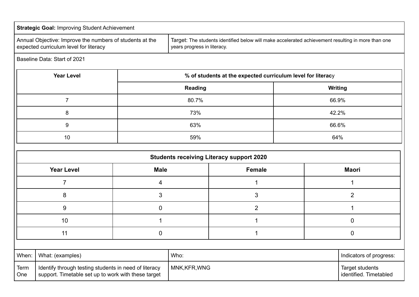|                                                                                                                             | <b>Strategic Goal: Improving Student Achievement</b> |                                                                                                                                   |                |                                                 |                                           |                |
|-----------------------------------------------------------------------------------------------------------------------------|------------------------------------------------------|-----------------------------------------------------------------------------------------------------------------------------------|----------------|-------------------------------------------------|-------------------------------------------|----------------|
| Annual Objective: Improve the numbers of students at the<br>expected curriculum level for literacy                          |                                                      | Target: The students identified below will make accelerated achievement resulting in more than one<br>years progress in literacy. |                |                                                 |                                           |                |
|                                                                                                                             | Baseline Data: Start of 2021                         |                                                                                                                                   |                |                                                 |                                           |                |
|                                                                                                                             | <b>Year Level</b>                                    | % of students at the expected curriculum level for literacy                                                                       |                |                                                 |                                           |                |
|                                                                                                                             |                                                      |                                                                                                                                   | <b>Reading</b> |                                                 |                                           | Writing        |
|                                                                                                                             | $\overline{7}$                                       |                                                                                                                                   | 80.7%          |                                                 |                                           | 66.9%          |
|                                                                                                                             | 8                                                    |                                                                                                                                   | 73%            |                                                 |                                           | 42.2%          |
|                                                                                                                             | 9                                                    |                                                                                                                                   | 63%            |                                                 | 66.6%                                     |                |
|                                                                                                                             | 10                                                   | 59%                                                                                                                               |                |                                                 | 64%                                       |                |
|                                                                                                                             |                                                      |                                                                                                                                   |                | <b>Students receiving Literacy support 2020</b> |                                           |                |
|                                                                                                                             | <b>Year Level</b>                                    | <b>Male</b>                                                                                                                       |                | <b>Female</b>                                   |                                           | <b>Maori</b>   |
|                                                                                                                             |                                                      |                                                                                                                                   |                |                                                 |                                           |                |
|                                                                                                                             | $\overline{7}$<br>4                                  |                                                                                                                                   |                | $\mathbf 1$                                     |                                           | $\mathbf 1$    |
|                                                                                                                             | 8                                                    | 3                                                                                                                                 |                | 3                                               |                                           | $\overline{2}$ |
|                                                                                                                             | $\boldsymbol{9}$<br>$\pmb{0}$                        |                                                                                                                                   |                | $\overline{2}$                                  |                                           | 1              |
| 10<br>1                                                                                                                     |                                                      |                                                                                                                                   | 1              |                                                 | $\mathbf 0$                               |                |
| 11<br>$\mathbf 0$                                                                                                           |                                                      |                                                                                                                                   | $\mathbf 1$    |                                                 | $\mathbf 0$                               |                |
|                                                                                                                             |                                                      |                                                                                                                                   |                |                                                 |                                           |                |
| When:<br>What: (examples)                                                                                                   |                                                      | Who:                                                                                                                              |                |                                                 | Indicators of progress:                   |                |
| Term<br>Identify through testing students in need of literacy<br>support. Timetable set up to work with these target<br>One |                                                      | MNK, KFR, WNG                                                                                                                     |                |                                                 | Target students<br>identified. Timetabled |                |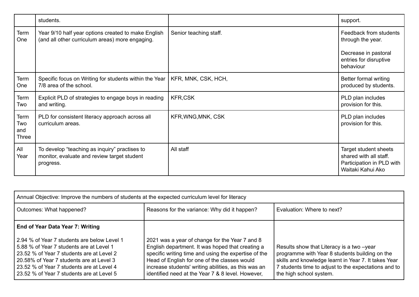|                             | students.                                                                                                 |                        | support.                                                                                                   |
|-----------------------------|-----------------------------------------------------------------------------------------------------------|------------------------|------------------------------------------------------------------------------------------------------------|
| Term<br>One                 | Year 9/10 half year options created to make English<br>(and all other curriculum areas) more engaging.    | Senior teaching staff. | Feedback from students<br>through the year.<br>Decrease in pastoral<br>entries for disruptive<br>behaviour |
|                             |                                                                                                           |                        |                                                                                                            |
| Term<br>One                 | Specific focus on Writing for students within the Year<br>7/8 area of the school.                         | KFR, MNK, CSK, HCH,    | Better formal writing<br>produced by students.                                                             |
| Term<br>Two                 | Explicit PLD of strategies to engage boys in reading<br>and writing.                                      | <b>KFR,CSK</b>         | PLD plan includes<br>provision for this.                                                                   |
| Term<br>Two<br>and<br>Three | PLD for consistent literacy approach across all<br>curriculum areas.                                      | KFR, WNG, MNK, CSK     | PLD plan includes<br>provision for this.                                                                   |
| All<br>Year                 | To develop "teaching as inquiry" practises to<br>monitor, evaluate and review target student<br>progress. | All staff              | Target student sheets<br>shared with all staff.<br>Participation in PLD with<br>Waitaki Kahui Ako          |

| Annual Objective: Improve the numbers of students at the expected curriculum level for literacy                                                                                                                                                                            |                                                                                                                                                                                                                                                                                                                         |                                                                                                                                                                                                                                         |  |
|----------------------------------------------------------------------------------------------------------------------------------------------------------------------------------------------------------------------------------------------------------------------------|-------------------------------------------------------------------------------------------------------------------------------------------------------------------------------------------------------------------------------------------------------------------------------------------------------------------------|-----------------------------------------------------------------------------------------------------------------------------------------------------------------------------------------------------------------------------------------|--|
| Outcomes: What happened?                                                                                                                                                                                                                                                   | Reasons for the variance: Why did it happen?                                                                                                                                                                                                                                                                            | Evaluation: Where to next?                                                                                                                                                                                                              |  |
| End of Year Data Year 7: Writing                                                                                                                                                                                                                                           |                                                                                                                                                                                                                                                                                                                         |                                                                                                                                                                                                                                         |  |
| 2.94 % of Year 7 students are below Level 1<br>5.88 % of Year 7 students are at Level 1<br>23.52 % of Year 7 students are at Level 2<br>20.58% of Year 7 students are at Level 3<br>23.52 % of Year 7 students are at Level 4<br>23.52 % of Year 7 students are at Level 5 | 2021 was a year of change for the Year 7 and 8<br>English department. It was hoped that creating a<br>specific writing time and using the expertise of the<br>Head of English for one of the classes would<br>increase students' writing abilities, as this was an<br>identified need at the Year 7 & 8 level. However, | Results show that Literacy is a two -year<br>programme with Year 8 students building on the<br>skills and knowledge learnt in Year 7. It takes Year<br>If students time to adjust to the expectations and to<br>the high school system. |  |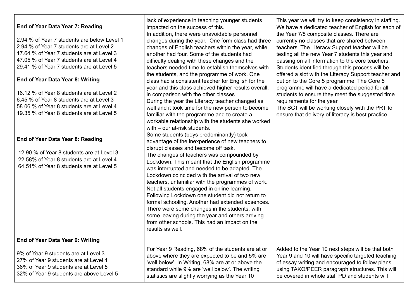| End of Year Data Year 7: Reading<br>2.94 % of Year 7 students are below Level 1<br>2.94 % of Year 7 students are at Level 2<br>17.64 % of Year 7 students are at Level 3<br>47.05 % of Year 7 students are at Level 4<br>29.41 % of Year 7 students are at Level 5<br>End of Year Data Year 8: Writing<br>16.12 % of Year 8 students are at Level 2<br>6.45 % of Year 8 students are at Level 3<br>58.06 % of Year 8 students are at Level 4<br>19.35 % of Year 8 students are at Level 5<br>End of Year Data Year 8: Reading<br>12.90 % of Year 8 students are at Level 3<br>22.58% of Year 8 students are at Level 4<br>64.51% of Year 8 students are at Level 5 | lack of experience in teaching younger students<br>impacted on the success of this.<br>In addition, there were unavoidable personnel<br>changes during the year. One form class had three<br>changes of English teachers within the year, while<br>another had four. Some of the students had<br>difficulty dealing with these changes and the<br>teachers needed time to establish themselves with<br>the students, and the programme of work. One<br>class had a consistent teacher for English for the<br>year and this class achieved higher results overall,<br>in comparison with the other classes.<br>During the year the Literacy teacher changed as<br>well and it took time for the new person to become<br>familiar with the programme and to create a<br>workable relationship with the students she worked<br>with - our at-risk students.<br>Some students (boys predominantly) took<br>advantage of the inexperience of new teachers to<br>disrupt classes and become off task.<br>The changes of teachers was compounded by<br>Lockdown. This meant that the English programme<br>was interrupted and needed to be adapted. The<br>Lockdown coincided with the arrival of two new<br>teachers, unfamiliar with the programmes of work.<br>Not all students engaged in online learning.<br>Following Lockdown one student did not return to<br>formal schooling. Another had extended absences.<br>There were some changes in the students, with<br>some leaving during the year and others arriving<br>from other schools. This had an impact on the<br>results as well. | This year we will try to keep consistency in staffing.<br>We have a dedicated teacher of English for each of<br>the Year 7/8 composite classes. There are<br>currently no classes that are shared between<br>teachers. The Literacy Support teacher will be<br>testing all the new Year 7 students this year and<br>passing on all information to the core teachers.<br>Students identified through this process will be<br>offered a slot with the Literacy Support teacher and<br>put on to the Core 5 programme. The Core 5<br>programme will have a dedicated period for all<br>students to ensure they meet the suggested time<br>requirements for the year.<br>The SCT will be working closely with the PRT to<br>ensure that delivery of literacy is best practice. |
|--------------------------------------------------------------------------------------------------------------------------------------------------------------------------------------------------------------------------------------------------------------------------------------------------------------------------------------------------------------------------------------------------------------------------------------------------------------------------------------------------------------------------------------------------------------------------------------------------------------------------------------------------------------------|-------------------------------------------------------------------------------------------------------------------------------------------------------------------------------------------------------------------------------------------------------------------------------------------------------------------------------------------------------------------------------------------------------------------------------------------------------------------------------------------------------------------------------------------------------------------------------------------------------------------------------------------------------------------------------------------------------------------------------------------------------------------------------------------------------------------------------------------------------------------------------------------------------------------------------------------------------------------------------------------------------------------------------------------------------------------------------------------------------------------------------------------------------------------------------------------------------------------------------------------------------------------------------------------------------------------------------------------------------------------------------------------------------------------------------------------------------------------------------------------------------------------------------------------------------------------------------------------|----------------------------------------------------------------------------------------------------------------------------------------------------------------------------------------------------------------------------------------------------------------------------------------------------------------------------------------------------------------------------------------------------------------------------------------------------------------------------------------------------------------------------------------------------------------------------------------------------------------------------------------------------------------------------------------------------------------------------------------------------------------------------|
| End of Year Data Year 9: Writing                                                                                                                                                                                                                                                                                                                                                                                                                                                                                                                                                                                                                                   |                                                                                                                                                                                                                                                                                                                                                                                                                                                                                                                                                                                                                                                                                                                                                                                                                                                                                                                                                                                                                                                                                                                                                                                                                                                                                                                                                                                                                                                                                                                                                                                           |                                                                                                                                                                                                                                                                                                                                                                                                                                                                                                                                                                                                                                                                                                                                                                            |
| 9% of Year 9 students are at Level 3<br>27% of Year 9 students are at Level 4<br>36% of Year 9 students are at Level 5<br>32% of Year 9 students are above Level 5                                                                                                                                                                                                                                                                                                                                                                                                                                                                                                 | For Year 9 Reading, 68% of the students are at or<br>above where they are expected to be and 5% are<br>'well below'. In Writing, 68% are at or above the<br>standard while 9% are 'well below'. The writing<br>statistics are slightly worrying as the Year 10                                                                                                                                                                                                                                                                                                                                                                                                                                                                                                                                                                                                                                                                                                                                                                                                                                                                                                                                                                                                                                                                                                                                                                                                                                                                                                                            | Added to the Year 10 next steps will be that both<br>Year 9 and 10 will have specific targeted teaching<br>of essay writing and encouraged to follow plans<br>using TAKO/PEER paragraph structures. This will<br>be covered in whole staff PD and students will                                                                                                                                                                                                                                                                                                                                                                                                                                                                                                            |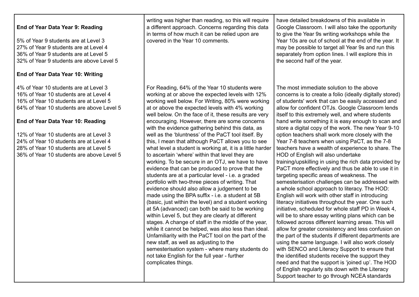| End of Year Data Year 9: Reading<br>5% of Year 9 students are at Level 3<br>27% of Year 9 students are at Level 4<br>36% of Year 9 students are at Level 5<br>32% of Year 9 students are above Level 5<br>End of Year Data Year 10: Writing                                                                                                                                            | writing was higher than reading, so this will require<br>a different approach. Concerns regarding this data<br>in terms of how much it can be relied upon are<br>covered in the Year 10 comments.                                                                                                                                                                                                                                                                                                                                                                                                                                                                                                                                                                                                                                                                                                                                                                                                                                                                                                                                                                                                                                                                                                                                                                                                                                   | have detailed breakdowns of this available in<br>Google Classroom. I will also take the opportunity<br>to give the Year 9s writing workshops while the<br>Year 10s are out of school at the end of the year. It<br>may be possible to target all Year 9s and run this<br>separately from option lines. I will explore this in<br>the second half of the year.                                                                                                                                                                                                                                                                                                                                                                                                                                                                                                                                                                                                                                                                                                                                                                                                                                                                                                                                                                                                                                                                                                                                                                                                         |
|----------------------------------------------------------------------------------------------------------------------------------------------------------------------------------------------------------------------------------------------------------------------------------------------------------------------------------------------------------------------------------------|-------------------------------------------------------------------------------------------------------------------------------------------------------------------------------------------------------------------------------------------------------------------------------------------------------------------------------------------------------------------------------------------------------------------------------------------------------------------------------------------------------------------------------------------------------------------------------------------------------------------------------------------------------------------------------------------------------------------------------------------------------------------------------------------------------------------------------------------------------------------------------------------------------------------------------------------------------------------------------------------------------------------------------------------------------------------------------------------------------------------------------------------------------------------------------------------------------------------------------------------------------------------------------------------------------------------------------------------------------------------------------------------------------------------------------------|-----------------------------------------------------------------------------------------------------------------------------------------------------------------------------------------------------------------------------------------------------------------------------------------------------------------------------------------------------------------------------------------------------------------------------------------------------------------------------------------------------------------------------------------------------------------------------------------------------------------------------------------------------------------------------------------------------------------------------------------------------------------------------------------------------------------------------------------------------------------------------------------------------------------------------------------------------------------------------------------------------------------------------------------------------------------------------------------------------------------------------------------------------------------------------------------------------------------------------------------------------------------------------------------------------------------------------------------------------------------------------------------------------------------------------------------------------------------------------------------------------------------------------------------------------------------------|
| 4% of Year 10 students are at Level 3<br>16% of Year 10 students are at Level 4<br>16% of Year 10 students are at Level 5<br>64% of Year 10 students are above Level 5<br>End of Year Data Year 10: Reading<br>12% of Year 10 students are at Level 3<br>24% of Year 10 students are at Level 4<br>28% of Year 10 students are at Level 5<br>36% of Year 10 students are above Level 5 | For Reading, 64% of the Year 10 students were<br>working at or above the expected levels with 12%<br>working well below. For Writing, 80% were working<br>at or above the expected levels with 4% working<br>well below. On the face of it, these results are very<br>encouraging. However, there are some concerns<br>with the evidence gathering behind this data, as<br>well as the 'bluntness' of the PaCT tool itself. By<br>this, I mean that although PaCT allows you to see<br>what level a student is working at, it is a little harder<br>to ascertain 'where' within that level they are<br>working. To be secure in an OTJ, we have to have<br>evidence that can be produced to prove that the<br>students are at a particular level - i.e. a graded<br>portfolio with two-three pieces of writing. That<br>evidence should also allow a judgement to be<br>made using the BPA suffix - i.e. a student at 5B<br>(basic, just within the level) and a student working<br>at 5A (advanced) can both be said to be working<br>within Level 5, but they are clearly at different<br>stages. A change of staff in the middle of the year,<br>while it cannot be helped, was also less than ideal.<br>Unfamiliarity with the PaCT tool on the part of the<br>new staff, as well as adjusting to the<br>semesterisation system - where many students do<br>not take English for the full year - further<br>complicates things. | The most immediate solution to the above<br>concerns is to create a folio (ideally digitally stored)<br>of students' work that can be easily accessed and<br>allow for confident OTJs. Google Classroom lends<br>itself to this extremely well, and where students<br>hand write something it is easy enough to scan and<br>store a digital copy of the work. The new Year 9-10<br>option teachers shall work more closely with the<br>Year 7-8 teachers when using PaCT, as the 7-8<br>teachers have a wealth of experience to share. The<br>HOD of English will also undertake<br>training/upskilling in using the rich data provided by<br>PaCT more effectively and thus be able to use it in<br>targeting specific areas of weakness. The<br>semesterisation challenges can be addressed with<br>a whole school approach to literacy. The HOD:<br>English will work with other staff in introducing<br>literacy initiatives throughout the year. One such<br>initiative, scheduled for whole staff PD in Week 4,<br>will be to share essay writing plans which can be<br>followed across different learning areas. This will<br>allow for greater consistency and less confusion on<br>the part of the students if different departments are<br>using the same language. I will also work closely<br>with SENCO and Literacy Support to ensure that<br>the identified students receive the support they<br>need and that the support is 'joined up'. The HOD<br>of English regularly sits down with the Literacy<br>Support teacher to go through NCEA standards |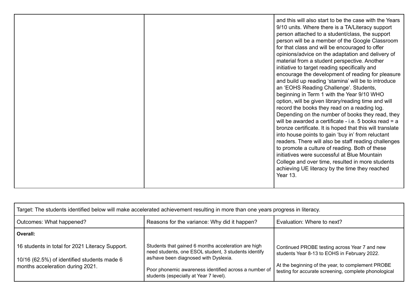|  |  | and this will also start to be the case with the Years<br>9/10 units. Where there is a TA/Literacy support<br>person attached to a student/class, the support<br>person will be a member of the Google Classroom<br>for that class and will be encouraged to offer<br>opinions/advice on the adaptation and delivery of<br>material from a student perspective. Another<br>initiative to target reading specifically and<br>encourage the development of reading for pleasure<br>and build up reading 'stamina' will be to introduce<br>an 'EOHS Reading Challenge'. Students,<br>beginning in Term 1 with the Year 9/10 WHO<br>option, will be given library/reading time and will<br>record the books they read on a reading log.<br>Depending on the number of books they read, they<br>will be awarded a certificate - i.e. 5 books read $=$ a<br>bronze certificate. It is hoped that this will translate<br>into house points to gain 'buy in' from reluctant<br>readers. There will also be staff reading challenges<br>to promote a culture of reading. Both of these<br>initiatives were successful at Blue Mountain<br>College and over time, resulted in more students<br>achieving UE literacy by the time they reached<br>Year 13. |
|--|--|-------------------------------------------------------------------------------------------------------------------------------------------------------------------------------------------------------------------------------------------------------------------------------------------------------------------------------------------------------------------------------------------------------------------------------------------------------------------------------------------------------------------------------------------------------------------------------------------------------------------------------------------------------------------------------------------------------------------------------------------------------------------------------------------------------------------------------------------------------------------------------------------------------------------------------------------------------------------------------------------------------------------------------------------------------------------------------------------------------------------------------------------------------------------------------------------------------------------------------------------------|
|--|--|-------------------------------------------------------------------------------------------------------------------------------------------------------------------------------------------------------------------------------------------------------------------------------------------------------------------------------------------------------------------------------------------------------------------------------------------------------------------------------------------------------------------------------------------------------------------------------------------------------------------------------------------------------------------------------------------------------------------------------------------------------------------------------------------------------------------------------------------------------------------------------------------------------------------------------------------------------------------------------------------------------------------------------------------------------------------------------------------------------------------------------------------------------------------------------------------------------------------------------------------------|

| Target: The students identified below will make accelerated achievement resulting in more than one years progress in literacy. |                                                                                                                                                      |                                                                                                            |  |  |  |
|--------------------------------------------------------------------------------------------------------------------------------|------------------------------------------------------------------------------------------------------------------------------------------------------|------------------------------------------------------------------------------------------------------------|--|--|--|
| Outcomes: What happened?                                                                                                       | Evaluation: Where to next?                                                                                                                           |                                                                                                            |  |  |  |
| Overall:                                                                                                                       |                                                                                                                                                      |                                                                                                            |  |  |  |
| 16 students in total for 2021 Literacy Support.<br>10/16 (62.5%) of identified students made 6                                 | Students that gained 6 months acceleration are high<br>need students, one ESOL student, 3 students identify<br>as/have been diagnosed with Dyslexia. | Continued PROBE testing across Year 7 and new<br>students Year 8-13 to EOHS in February 2022.              |  |  |  |
| months acceleration during 2021.                                                                                               | Poor phonemic awareness identified across a number of<br>students (especially at Year 7 level).                                                      | At the beginning of the year, to complement PROBE<br>testing for accurate screening, complete phonological |  |  |  |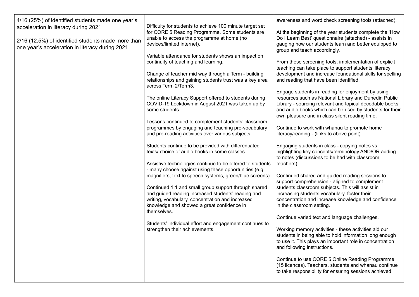| 4/16 (25%) of identified students made one year's<br>acceleration in literacy during 2021.             | Difficulty for students to achieve 100 minute target set                                                                               | awareness and word check screening tools (attached).                                                                                                                        |  |  |
|--------------------------------------------------------------------------------------------------------|----------------------------------------------------------------------------------------------------------------------------------------|-----------------------------------------------------------------------------------------------------------------------------------------------------------------------------|--|--|
|                                                                                                        | for CORE 5 Reading Programme. Some students are                                                                                        | At the beginning of the year students complete the 'How                                                                                                                     |  |  |
| 2/16 (12.5%) of identified students made more than<br>one year's acceleration in literacy during 2021. | unable to access the programme at home (no<br>devices/limited internet).                                                               | Do I Learn Best' questionnaire (attached) - assists in<br>gauging how our students learn and better equipped to<br>group and teach accordingly.                             |  |  |
|                                                                                                        | Variable attendance for students shows an impact on                                                                                    |                                                                                                                                                                             |  |  |
|                                                                                                        | continuity of teaching and learning.                                                                                                   | From these screening tools, implementation of explicit<br>teaching can take place to support students' literacy                                                             |  |  |
|                                                                                                        | Change of teacher mid way through a Term - building<br>relationships and gaining students trust was a key area<br>across Term 2/Term3. | development and increase foundational skills for spelling<br>and reading that have been identified.                                                                         |  |  |
|                                                                                                        |                                                                                                                                        | Engage students in reading for enjoyment by using                                                                                                                           |  |  |
|                                                                                                        | The online Literacy Support offered to students during<br>COVID-19 Lockdown in August 2021 was taken up by<br>some students.           | resources such as National Library and Dunedin Public<br>Library - sourcing relevant and topical decodable books<br>and audio books which can be used by students for their |  |  |
|                                                                                                        |                                                                                                                                        | own pleasure and in class silent reading time.                                                                                                                              |  |  |
|                                                                                                        | Lessons continued to complement students' classroom<br>programmes by engaging and teaching pre-vocabulary                              | Continue to work with whanau to promote home                                                                                                                                |  |  |
|                                                                                                        | and pre-reading activities over various subjects.                                                                                      | literacy/reading - (links to above point).                                                                                                                                  |  |  |
|                                                                                                        | Students continue to be provided with differentiated                                                                                   | Engaging students in class - copying notes vs                                                                                                                               |  |  |
|                                                                                                        | texts/ choice of audio books in some classes.                                                                                          | highlighting key concepts/terminology AND/OR adding<br>to notes (discussions to be had with classroom                                                                       |  |  |
|                                                                                                        | Assistive technologies continue to be offered to students                                                                              | teachers).                                                                                                                                                                  |  |  |
|                                                                                                        | - many choose against using these opportunities (e.g<br>magnifiers, text to speech systems, green/blue screens).                       | Continued shared and guided reading sessions to                                                                                                                             |  |  |
|                                                                                                        | Continued 1:1 and small group support through shared                                                                                   | support comprehension - aligned to complement<br>students classroom subjects. This will assist in                                                                           |  |  |
|                                                                                                        | and guided reading increased students' reading and                                                                                     | increasing students vocabulary, foster their                                                                                                                                |  |  |
|                                                                                                        | writing, vocabulary, concentration and increased<br>knowledge and showed a great confidence in                                         | concentration and increase knowledge and confidence<br>in the classroom setting.                                                                                            |  |  |
|                                                                                                        | themselves.                                                                                                                            |                                                                                                                                                                             |  |  |
|                                                                                                        | Students' individual effort and engagement continues to                                                                                | Continue varied text and language challenges.                                                                                                                               |  |  |
|                                                                                                        | strengthen their achievements.                                                                                                         | Working memory activities - these activities aid our                                                                                                                        |  |  |
|                                                                                                        |                                                                                                                                        | students in being able to hold information long enough<br>to use it. This plays an important role in concentration                                                          |  |  |
|                                                                                                        |                                                                                                                                        | and following instructions.                                                                                                                                                 |  |  |
|                                                                                                        |                                                                                                                                        | Continue to use CORE 5 Online Reading Programme                                                                                                                             |  |  |
|                                                                                                        |                                                                                                                                        | (15 licences). Teachers, students and whanau continue<br>to take responsibility for ensuring sessions achieved                                                              |  |  |
|                                                                                                        |                                                                                                                                        |                                                                                                                                                                             |  |  |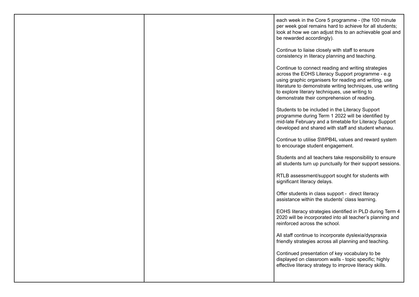|  | each week in the Core 5 programme - (the 100 minute<br>per week goal remains hard to achieve for all students;<br>look at how we can adjust this to an achievable goal and<br>be rewarded accordingly).                                                                                                                       |
|--|-------------------------------------------------------------------------------------------------------------------------------------------------------------------------------------------------------------------------------------------------------------------------------------------------------------------------------|
|  | Continue to liaise closely with staff to ensure<br>consistency in literacy planning and teaching.                                                                                                                                                                                                                             |
|  | Continue to connect reading and writing strategies<br>across the EOHS Literacy Support programme - e.g<br>using graphic organisers for reading and writing, use<br>literature to demonstrate writing techniques, use writing<br>to explore literary techniques, use writing to<br>demonstrate their comprehension of reading. |
|  | Students to be included in the Literacy Support<br>programme during Term 1 2022 will be identified by<br>mid-late February and a timetable for Literacy Support<br>developed and shared with staff and student whanau.                                                                                                        |
|  | Continue to utilise SWPB4L values and reward system<br>to encourage student engagement.                                                                                                                                                                                                                                       |
|  | Students and all teachers take responsibility to ensure<br>all students turn up punctually for their support sessions.                                                                                                                                                                                                        |
|  | RTLB assessment/support sought for students with<br>significant literacy delays.                                                                                                                                                                                                                                              |
|  | Offer students in class support - direct literacy<br>assistance within the students' class learning.                                                                                                                                                                                                                          |
|  | EOHS literacy strategies identified in PLD during Term 4<br>2020 will be incorporated into all teacher's planning and<br>reinforced across the school.                                                                                                                                                                        |
|  | All staff continue to incorporate dyslexia/dyspraxia<br>friendly strategies across all planning and teaching.                                                                                                                                                                                                                 |
|  | Continued presentation of key vocabulary to be<br>displayed on classroom walls - topic specific; highly<br>effective literacy strategy to improve literacy skills.                                                                                                                                                            |
|  |                                                                                                                                                                                                                                                                                                                               |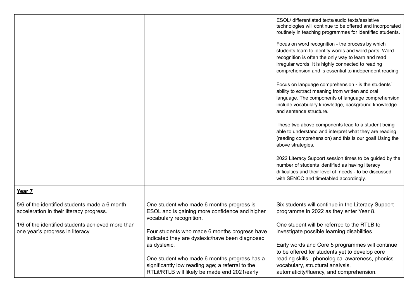|                                                                                                                                                                                    |                                                                                                                                                                                                                            | ESOL/ differentiated texts/audio texts/assistive<br>technologies will continue to be offered and incorporated<br>routinely in teaching programmes for identified students.<br>Focus on word recognition - the process by which<br>students learn to identify words and word parts. Word<br>recognition is often the only way to learn and read<br>irregular words. It is highly connected to reading<br>comprehension and is essential to independent reading<br>Focus on language comprehension - is the students'<br>ability to extract meaning from written and oral<br>language. The components of language comprehension<br>include vocabulary knowledge, background knowledge<br>and sentence structure.<br>These two above components lead to a student being<br>able to understand and interpret what they are reading<br>(reading comprehension) and this is our goal! Using the<br>above strategies.<br>2022 Literacy Support session times to be guided by the<br>number of students identified as having literacy<br>difficulties and their level of needs - to be discussed<br>with SENCO and timetabled accordingly. |
|------------------------------------------------------------------------------------------------------------------------------------------------------------------------------------|----------------------------------------------------------------------------------------------------------------------------------------------------------------------------------------------------------------------------|------------------------------------------------------------------------------------------------------------------------------------------------------------------------------------------------------------------------------------------------------------------------------------------------------------------------------------------------------------------------------------------------------------------------------------------------------------------------------------------------------------------------------------------------------------------------------------------------------------------------------------------------------------------------------------------------------------------------------------------------------------------------------------------------------------------------------------------------------------------------------------------------------------------------------------------------------------------------------------------------------------------------------------------------------------------------------------------------------------------------------------|
| Year 7                                                                                                                                                                             |                                                                                                                                                                                                                            |                                                                                                                                                                                                                                                                                                                                                                                                                                                                                                                                                                                                                                                                                                                                                                                                                                                                                                                                                                                                                                                                                                                                    |
| 5/6 of the identified students made a 6 month<br>acceleration in their literacy progress.<br>1/6 of the identified students achieved more than<br>one year's progress in literacy. | One student who made 6 months progress is<br>ESOL and is gaining more confidence and higher<br>vocabulary recognition.<br>Four students who made 6 months progress have<br>indicated they are dyslexic/have been diagnosed | Six students will continue in the Literacy Support<br>programme in 2022 as they enter Year 8.<br>One student will be referred to the RTLB to<br>investigate possible learning disabilities.                                                                                                                                                                                                                                                                                                                                                                                                                                                                                                                                                                                                                                                                                                                                                                                                                                                                                                                                        |
|                                                                                                                                                                                    | as dyslexic.<br>One student who made 6 months progress has a<br>significantly low reading age; a referral to the<br>RTLit/RTLB will likely be made end 2021/early                                                          | Early words and Core 5 programmes will continue<br>to be offered for students yet to develop core<br>reading skills - phonological awareness, phonics<br>vocabulary, structural analysis,<br>automaticity/fluency, and comprehension.                                                                                                                                                                                                                                                                                                                                                                                                                                                                                                                                                                                                                                                                                                                                                                                                                                                                                              |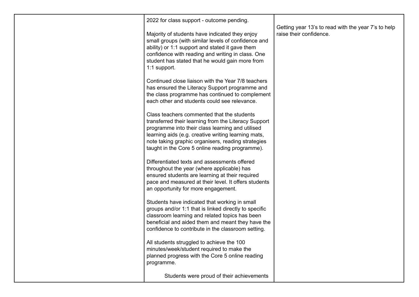| 2022 for class support - outcome pending.                                                                                                                                                                                                                                                                              | Getting year 13's to read with the year 7's to help |
|------------------------------------------------------------------------------------------------------------------------------------------------------------------------------------------------------------------------------------------------------------------------------------------------------------------------|-----------------------------------------------------|
| Majority of students have indicated they enjoy<br>small groups (with similar levels of confidence and<br>ability) or 1:1 support and stated it gave them<br>confidence with reading and writing in class. One<br>student has stated that he would gain more from<br>1:1 support.                                       | raise their confidence.                             |
| Continued close liaison with the Year 7/8 teachers<br>has ensured the Literacy Support programme and<br>the class programme has continued to complement<br>each other and students could see relevance.                                                                                                                |                                                     |
| Class teachers commented that the students<br>transferred their learning from the Literacy Support<br>programme into their class learning and utilised<br>learning aids (e.g. creative writing learning mats,<br>note taking graphic organisers, reading strategies<br>taught in the Core 5 online reading programme). |                                                     |
| Differentiated texts and assessments offered<br>throughout the year (where applicable) has<br>ensured students are learning at their required<br>pace and measured at their level. It offers students<br>an opportunity for more engagement.                                                                           |                                                     |
| Students have indicated that working in small<br>groups and/or 1:1 that is linked directly to specific<br>classroom learning and related topics has been<br>beneficial and aided them and meant they have the<br>confidence to contribute in the classroom setting.                                                    |                                                     |
| All students struggled to achieve the 100<br>minutes/week/student required to make the<br>planned progress with the Core 5 online reading<br>programme.                                                                                                                                                                |                                                     |
| Students were proud of their achievements                                                                                                                                                                                                                                                                              |                                                     |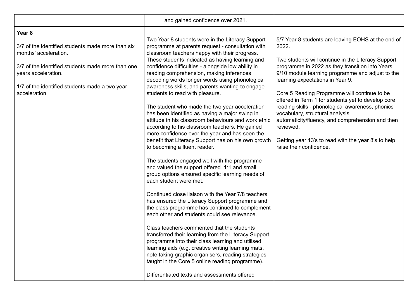|                                                                                                                                                                                                                                     | and gained confidence over 2021.                                                                                                                                                                                                                                                                                                                                                                                                                                                                                                                                                                                                                                                                                                                                                                                                                                                                                                                                                                                                                                                                                       |                                                                                                                                                                                                                                                                                                              |
|-------------------------------------------------------------------------------------------------------------------------------------------------------------------------------------------------------------------------------------|------------------------------------------------------------------------------------------------------------------------------------------------------------------------------------------------------------------------------------------------------------------------------------------------------------------------------------------------------------------------------------------------------------------------------------------------------------------------------------------------------------------------------------------------------------------------------------------------------------------------------------------------------------------------------------------------------------------------------------------------------------------------------------------------------------------------------------------------------------------------------------------------------------------------------------------------------------------------------------------------------------------------------------------------------------------------------------------------------------------------|--------------------------------------------------------------------------------------------------------------------------------------------------------------------------------------------------------------------------------------------------------------------------------------------------------------|
| Year 8<br>3/7 of the identified students made more than six<br>months' acceleration.<br>3/7 of the identified students made more than one<br>years acceleration.<br>1/7 of the identified students made a two year<br>acceleration. | Two Year 8 students were in the Literacy Support<br>programme at parents request - consultation with<br>classroom teachers happy with their progress.<br>These students indicated as having learning and<br>confidence difficulties - alongside low ability in<br>reading comprehension, making inferences,<br>decoding words longer words using phonological<br>awareness skills, and parents wanting to engage<br>students to read with pleasure.                                                                                                                                                                                                                                                                                                                                                                                                                                                                                                                                                                                                                                                                    | 5/7 Year 8 students are leaving EOHS at the end of<br>2022.<br>Two students will continue in the Literacy Support<br>programme in 2022 as they transition into Years<br>9/10 module learning programme and adjust to the<br>learning expectations in Year 9.<br>Core 5 Reading Programme will continue to be |
|                                                                                                                                                                                                                                     | The student who made the two year acceleration<br>has been identified as having a major swing in<br>attitude in his classroom behaviours and work ethic<br>according to his classroom teachers. He gained<br>more confidence over the year and has seen the<br>benefit that Literacy Support has on his own growth<br>to becoming a fluent reader.<br>The students engaged well with the programme<br>and valued the support offered. 1:1 and small<br>group options ensured specific learning needs of<br>each student were met.<br>Continued close liaison with the Year 7/8 teachers<br>has ensured the Literacy Support programme and<br>the class programme has continued to complement<br>each other and students could see relevance.<br>Class teachers commented that the students<br>transferred their learning from the Literacy Support<br>programme into their class learning and utilised<br>learning aids (e.g. creative writing learning mats,<br>note taking graphic organisers, reading strategies<br>taught in the Core 5 online reading programme).<br>Differentiated texts and assessments offered | offered in Term 1 for students yet to develop core<br>reading skills - phonological awareness, phonics<br>vocabulary, structural analysis,<br>automaticity/fluency, and comprehension and then<br>reviewed.<br>Getting year 13's to read with the year 8's to help<br>raise their confidence.                |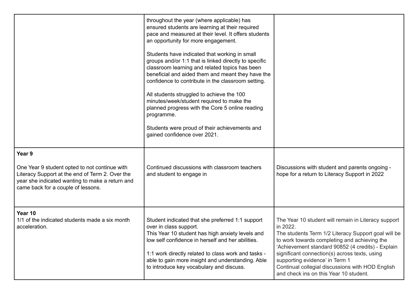|                                                                                                                                                                                                     | throughout the year (where applicable) has<br>ensured students are learning at their required<br>pace and measured at their level. It offers students<br>an opportunity for more engagement.<br>Students have indicated that working in small<br>groups and/or 1:1 that is linked directly to specific<br>classroom learning and related topics has been<br>beneficial and aided them and meant they have the<br>confidence to contribute in the classroom setting.<br>All students struggled to achieve the 100<br>minutes/week/student required to make the<br>planned progress with the Core 5 online reading<br>programme.<br>Students were proud of their achievements and<br>gained confidence over 2021. |                                                                                                                                                                                                                                                                                                                                                                                                              |
|-----------------------------------------------------------------------------------------------------------------------------------------------------------------------------------------------------|-----------------------------------------------------------------------------------------------------------------------------------------------------------------------------------------------------------------------------------------------------------------------------------------------------------------------------------------------------------------------------------------------------------------------------------------------------------------------------------------------------------------------------------------------------------------------------------------------------------------------------------------------------------------------------------------------------------------|--------------------------------------------------------------------------------------------------------------------------------------------------------------------------------------------------------------------------------------------------------------------------------------------------------------------------------------------------------------------------------------------------------------|
| Year 9<br>One Year 9 student opted to not continue with<br>Literacy Support at the end of Term 2. Over the<br>year she indicated wanting to make a return and<br>came back for a couple of lessons. | Continued discussions with classroom teachers<br>and student to engage in                                                                                                                                                                                                                                                                                                                                                                                                                                                                                                                                                                                                                                       | Discussions with student and parents ongoing -<br>hope for a return to Literacy Support in 2022                                                                                                                                                                                                                                                                                                              |
| Year 10<br>1/1 of the indicated students made a six month<br>acceleration.                                                                                                                          | Student indicated that she preferred 1:1 support<br>over in class support.<br>This Year 10 student has high anxiety levels and<br>low self confidence in herself and her abilities.<br>1:1 work directly related to class work and tasks -<br>able to gain more insight and understanding. Able<br>to introduce key vocabulary and discuss.                                                                                                                                                                                                                                                                                                                                                                     | The Year 10 student will remain in Literacy support<br>in 2022.<br>The students Term 1/2 Literacy Support goal will be<br>to work towards completing and achieving the<br>'Achievement standard 90852 (4 credits) - Explain<br>significant connection(s) across texts, using<br>supporting evidence' in Term 1<br>Continual collegial discussions with HOD English<br>and check ins on this Year 10 student. |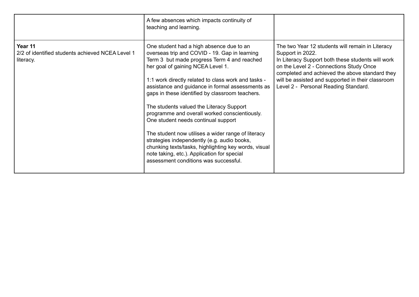|                                                                          | A few absences which impacts continuity of<br>teaching and learning.                                                                                                                                                                                                                                                                                                                                                                                                                                                                                                                                                                                                                                                                 |                                                                                                                                                                                                                                                                                                                     |
|--------------------------------------------------------------------------|--------------------------------------------------------------------------------------------------------------------------------------------------------------------------------------------------------------------------------------------------------------------------------------------------------------------------------------------------------------------------------------------------------------------------------------------------------------------------------------------------------------------------------------------------------------------------------------------------------------------------------------------------------------------------------------------------------------------------------------|---------------------------------------------------------------------------------------------------------------------------------------------------------------------------------------------------------------------------------------------------------------------------------------------------------------------|
| Year 11<br>2/2 of identified students achieved NCEA Level 1<br>literacy. | One student had a high absence due to an<br>overseas trip and COVID - 19. Gap in learning<br>Term 3 but made progress Term 4 and reached<br>her goal of gaining NCEA Level 1.<br>1:1 work directly related to class work and tasks -<br>assistance and guidance in formal assessments as<br>gaps in these identified by classroom teachers.<br>The students valued the Literacy Support<br>programme and overall worked conscientiously.<br>One student needs continual support<br>The student now utilises a wider range of literacy<br>strategies independently (e.g. audio books,<br>chunking texts/tasks, highlighting key words, visual<br>note taking, etc.). Application for special<br>assessment conditions was successful. | The two Year 12 students will remain in Literacy<br>Support in 2022.<br>In Literacy Support both these students will work<br>on the Level 2 - Connections Study Once<br>completed and achieved the above standard they<br>will be assisted and supported in their classroom<br>Level 2 - Personal Reading Standard. |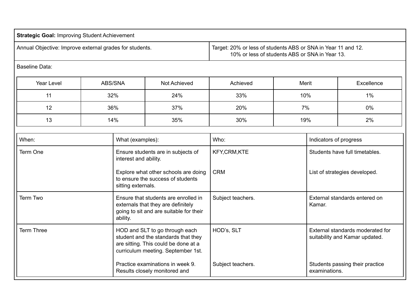| <b>Strategic Goal: Improving Student Achievement</b>    |  |                                                                                                                 |                                                                                                                                                     |                   |       |                        |                                                                    |
|---------------------------------------------------------|--|-----------------------------------------------------------------------------------------------------------------|-----------------------------------------------------------------------------------------------------------------------------------------------------|-------------------|-------|------------------------|--------------------------------------------------------------------|
| Annual Objective: Improve external grades for students. |  | Target: 20% or less of students ABS or SNA in Year 11 and 12.<br>10% or less of students ABS or SNA in Year 13. |                                                                                                                                                     |                   |       |                        |                                                                    |
| <b>Baseline Data:</b>                                   |  |                                                                                                                 |                                                                                                                                                     |                   |       |                        |                                                                    |
| Year Level                                              |  | ABS/SNA                                                                                                         | Not Achieved                                                                                                                                        | Achieved          | Merit |                        | Excellence                                                         |
| 11                                                      |  | 32%                                                                                                             | 24%                                                                                                                                                 | 33%               | 10%   |                        | 1%                                                                 |
| 12                                                      |  | 36%                                                                                                             | 37%                                                                                                                                                 | 20%               | 7%    |                        | 0%                                                                 |
| 13                                                      |  | 14%                                                                                                             | 35%                                                                                                                                                 | 30%               | 19%   |                        | 2%                                                                 |
| When:                                                   |  | What (examples):                                                                                                |                                                                                                                                                     | Who:              |       | Indicators of progress |                                                                    |
| Term One                                                |  | interest and ability.                                                                                           | Ensure students are in subjects of                                                                                                                  | KFY,CRM,KTE       |       |                        | Students have full timetables.                                     |
|                                                         |  | sitting externals.                                                                                              | Explore what other schools are doing<br>to ensure the success of students                                                                           | <b>CRM</b>        |       |                        | List of strategies developed.                                      |
| Term Two                                                |  | ability.                                                                                                        | Ensure that students are enrolled in<br>externals that they are definitely<br>going to sit and are suitable for their                               | Subject teachers. |       | Kamar.                 | External standards entered on                                      |
| <b>Term Three</b>                                       |  |                                                                                                                 | HOD and SLT to go through each<br>student and the standards that they<br>are sitting. This could be done at a<br>curriculum meeting. September 1st. | HOD's, SLT        |       |                        | External standards moderated for<br>suitability and Kamar updated. |
|                                                         |  |                                                                                                                 | Practice examinations in week 9.<br>Results closely monitored and                                                                                   | Subject teachers. |       | examinations.          | Students passing their practice                                    |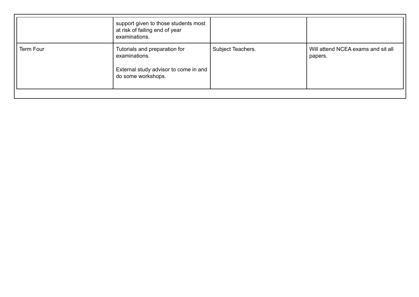| Term Four<br>Subject Teachers.<br>Tutorials and preparation for<br>examinations.<br>External study advisor to come in and<br>do some workshops. | support given to those students most<br>at risk of failing end of year<br>examinations. |                                               |
|-------------------------------------------------------------------------------------------------------------------------------------------------|-----------------------------------------------------------------------------------------|-----------------------------------------------|
|                                                                                                                                                 |                                                                                         | Will attend NCEA exams and sit all<br>papers. |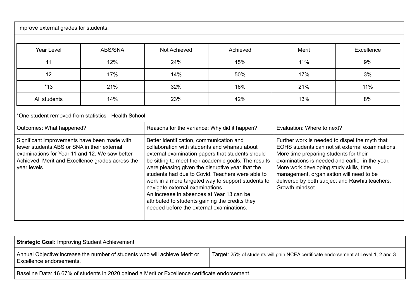| Improve external grades for students.                                                                                                                                                                             |         |                                                                                                                                                                                                                                                                                                                                                                                                                                                                                                                                                                                                                                                                                                                                                                                                                                                                                                                                                                                                |          |       |            |
|-------------------------------------------------------------------------------------------------------------------------------------------------------------------------------------------------------------------|---------|------------------------------------------------------------------------------------------------------------------------------------------------------------------------------------------------------------------------------------------------------------------------------------------------------------------------------------------------------------------------------------------------------------------------------------------------------------------------------------------------------------------------------------------------------------------------------------------------------------------------------------------------------------------------------------------------------------------------------------------------------------------------------------------------------------------------------------------------------------------------------------------------------------------------------------------------------------------------------------------------|----------|-------|------------|
| <b>Year Level</b>                                                                                                                                                                                                 | ABS/SNA | Not Achieved                                                                                                                                                                                                                                                                                                                                                                                                                                                                                                                                                                                                                                                                                                                                                                                                                                                                                                                                                                                   | Achieved | Merit | Excellence |
| 11                                                                                                                                                                                                                | 12%     | 24%                                                                                                                                                                                                                                                                                                                                                                                                                                                                                                                                                                                                                                                                                                                                                                                                                                                                                                                                                                                            | 45%      | 11%   | 9%         |
| 12                                                                                                                                                                                                                | 17%     | 14%                                                                                                                                                                                                                                                                                                                                                                                                                                                                                                                                                                                                                                                                                                                                                                                                                                                                                                                                                                                            | 50%      | 17%   | 3%         |
| $*13$                                                                                                                                                                                                             | 21%     | 32%                                                                                                                                                                                                                                                                                                                                                                                                                                                                                                                                                                                                                                                                                                                                                                                                                                                                                                                                                                                            | 16%      | 21%   | 11%        |
| All students                                                                                                                                                                                                      | 14%     | 23%                                                                                                                                                                                                                                                                                                                                                                                                                                                                                                                                                                                                                                                                                                                                                                                                                                                                                                                                                                                            | 42%      | 13%   | 8%         |
| *One student removed from statistics - Health School                                                                                                                                                              |         |                                                                                                                                                                                                                                                                                                                                                                                                                                                                                                                                                                                                                                                                                                                                                                                                                                                                                                                                                                                                |          |       |            |
| Outcomes: What happened?                                                                                                                                                                                          |         |                                                                                                                                                                                                                                                                                                                                                                                                                                                                                                                                                                                                                                                                                                                                                                                                                                                                                                                                                                                                |          |       |            |
| Significant improvements have been made with<br>fewer students ABS or SNA in their external<br>examinations for Year 11 and 12. We saw better<br>Achieved, Merit and Excellence grades across the<br>year levels. |         | Reasons for the variance: Why did it happen?<br>Evaluation: Where to next?<br>Better identification, communication and<br>Further work is needed to dispel the myth that<br>EOHS students can not sit external examinations.<br>collaboration with students and whanau about<br>external examination papers that students should<br>More time preparing students for their<br>examinations is needed and earlier in the year.<br>be sitting to meet their academic goals. The results<br>were pleasing given the disruptive year that the<br>More work developing study skills, time<br>students had due to Covid. Teachers were able to<br>management, organisation will need to be<br>work in a more targeted way to support students to<br>delivered by both subject and Rawhiti teachers.<br>navigate external examinations.<br>Growth mindset<br>An increase in absences at Year 13 can be<br>attributed to students gaining the credits they<br>needed before the external examinations. |          |       |            |

| <b>Strategic Goal: Improving Student Achievement</b>                                                    |                                                                                                 |  |  |  |  |  |
|---------------------------------------------------------------------------------------------------------|-------------------------------------------------------------------------------------------------|--|--|--|--|--|
| Annual Objective: Increase the number of students who will achieve Merit or<br>Excellence endorsements. | Target: 25% of students will gain NCEA certificate endorsement at Level 1, 2 and 3              |  |  |  |  |  |
|                                                                                                         | Baseline Data: 16.67% of students in 2020 gained a Merit or Excellence certificate endorsement. |  |  |  |  |  |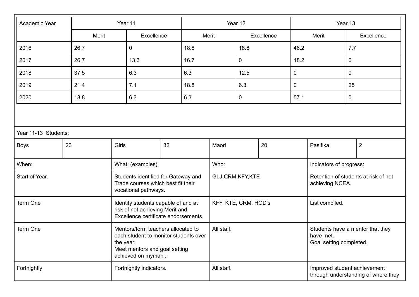| Academic Year                                                                                                                                                | Year 11                                                                                                        |                   |      |                      | Year 12                                                                  |      |                                                         |                         | Year 13  |     |                |
|--------------------------------------------------------------------------------------------------------------------------------------------------------------|----------------------------------------------------------------------------------------------------------------|-------------------|------|----------------------|--------------------------------------------------------------------------|------|---------------------------------------------------------|-------------------------|----------|-----|----------------|
|                                                                                                                                                              | Merit                                                                                                          | Excellence        |      | Merit                |                                                                          |      | Excellence                                              |                         | Merit    |     | Excellence     |
| 2016                                                                                                                                                         | 26.7                                                                                                           | $\mathbf 0$       | 18.8 |                      |                                                                          | 18.8 |                                                         | 46.2                    |          | 7.7 |                |
| 2017                                                                                                                                                         | 26.7                                                                                                           | 13.3              | 16.7 |                      |                                                                          | 0    |                                                         | 18.2                    |          | 0   |                |
| 2018                                                                                                                                                         | 37.5                                                                                                           | 6.3               | 6.3  |                      |                                                                          | 12.5 |                                                         | $\mathbf 0$             |          | 0   |                |
| 2019                                                                                                                                                         | 21.4                                                                                                           | 7.1               | 18.8 |                      |                                                                          | 6.3  |                                                         | $\mathbf 0$             |          | 25  |                |
| 2020                                                                                                                                                         | 18.8                                                                                                           | 6.3               | 6.3  |                      |                                                                          | 0    |                                                         | 57.1                    |          | 0   |                |
|                                                                                                                                                              |                                                                                                                |                   |      |                      |                                                                          |      |                                                         |                         |          |     |                |
| Year 11-13 Students:                                                                                                                                         |                                                                                                                |                   |      |                      |                                                                          |      |                                                         |                         |          |     |                |
| <b>Boys</b>                                                                                                                                                  | 23                                                                                                             | Girls             | 32   |                      | Maori                                                                    |      | 20                                                      |                         | Pasifika |     | $\overline{2}$ |
| When:                                                                                                                                                        |                                                                                                                | What: (examples). |      |                      | Who:                                                                     |      |                                                         | Indicators of progress: |          |     |                |
| Start of Year.                                                                                                                                               | Students identified for Gateway and<br>Trade courses which best fit their<br>vocational pathways.              |                   |      | GLJ,CRM,KFY,KTE      |                                                                          |      | Retention of students at risk of not<br>achieving NCEA. |                         |          |     |                |
| Term One                                                                                                                                                     | Identify students capable of and at<br>risk of not achieving Merit and<br>Excellence certificate endorsements. |                   |      | KFY, KTE, CRM, HOD's |                                                                          |      | List compiled.                                          |                         |          |     |                |
| Mentors/form teachers allocated to<br>Term One<br>each student to monitor students over<br>the year.<br>Meet mentors and goal setting<br>achieved on mymahi. |                                                                                                                | All staff.        |      |                      | Students have a mentor that they<br>have met.<br>Goal setting completed. |      |                                                         |                         |          |     |                |
| Fortnightly indicators.<br>Fortnightly                                                                                                                       |                                                                                                                | All staff.        |      |                      | Improved student achievement<br>through understanding of where they      |      |                                                         |                         |          |     |                |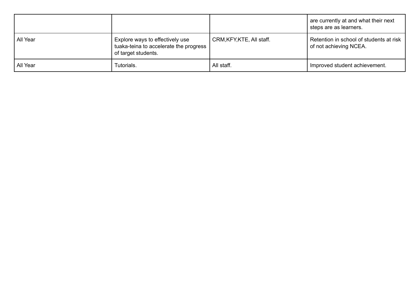|          |                                                                                                  |                           | are currently at and what their next<br>steps are as learners.    |
|----------|--------------------------------------------------------------------------------------------------|---------------------------|-------------------------------------------------------------------|
| All Year | Explore ways to effectively use<br>tuaka-teina to accelerate the progress<br>of target students. | CRM, KFY, KTE, All staff. | Retention in school of students at risk<br>of not achieving NCEA. |
| All Year | Tutorials.                                                                                       | All staff.                | Improved student achievement.                                     |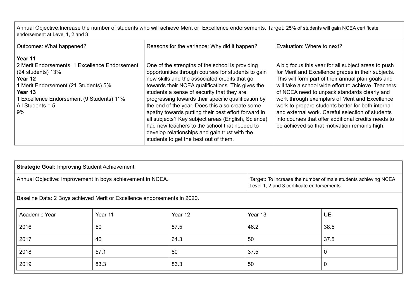Annual Objective:Increase the number of students who will achieve Merit or Excellence endorsements. Target: 25% of students will gain NCEA certificate endorsement at Level 1, 2 and 3

| Outcomes: What happened?                                                                                                                                                                                              | Reasons for the variance: Why did it happen?                                                                                                                                                                                                                                                                                                                                                                                                                                                                                                                                                                                | Evaluation: Where to next?                                                                                                                                                                                                                                                                                                                                                                                                                                                                                                               |
|-----------------------------------------------------------------------------------------------------------------------------------------------------------------------------------------------------------------------|-----------------------------------------------------------------------------------------------------------------------------------------------------------------------------------------------------------------------------------------------------------------------------------------------------------------------------------------------------------------------------------------------------------------------------------------------------------------------------------------------------------------------------------------------------------------------------------------------------------------------------|------------------------------------------------------------------------------------------------------------------------------------------------------------------------------------------------------------------------------------------------------------------------------------------------------------------------------------------------------------------------------------------------------------------------------------------------------------------------------------------------------------------------------------------|
| Year 11<br>2 Merit Endorsements, 1 Excellence Endorsement<br>$(24$ students) 13%<br>Year 12<br>1 Merit Endorsement (21 Students) 5%<br>Year 13<br>Excellence Endorsement (9 Students) 11%<br>All Students = $5$<br>9% | One of the strengths of the school is providing<br>opportunities through courses for students to gain<br>new skills and the associated credits that go<br>towards their NCEA qualifications. This gives the<br>students a sense of security that they are<br>progressing towards their specific qualification by<br>the end of the year. Does this also create some<br>apathy towards putting their best effort forward in<br>all subjects? Key subject areas (English, Science)<br>had new teachers to the school that needed to<br>develop relationships and gain trust with the<br>students to get the best out of them. | A big focus this year for all subject areas to push<br>for Merit and Excellence grades in their subjects.<br>This will form part of their annual plan goals and<br>will take a school wide effort to achieve. Teachers<br>of NCEA need to unpack standards clearly and<br>work through exemplars of Merit and Excellence<br>work to prepare students better for both internal<br>and external work. Careful selection of students<br>into courses that offer additional credits needs to<br>be achieved so that motivation remains high. |

| <b>Strategic Goal: Improving Student Achievement</b>                     |         |         |         |                                                                                                              |  |  |
|--------------------------------------------------------------------------|---------|---------|---------|--------------------------------------------------------------------------------------------------------------|--|--|
| Annual Objective: Improvement in boys achievement in NCEA.               |         |         |         | Target: To increase the number of male students achieving NCEA<br>Level 1, 2 and 3 certificate endorsements. |  |  |
| Baseline Data: 2 Boys achieved Merit or Excellence endorsements in 2020. |         |         |         |                                                                                                              |  |  |
| Academic Year                                                            | Year 11 | Year 12 | Year 13 | <b>UE</b>                                                                                                    |  |  |
| 2016                                                                     | 50      | 87.5    | 46.2    | 38.5                                                                                                         |  |  |
| 2017                                                                     | 40      | 64.3    | 50      | 37.5                                                                                                         |  |  |
| 2018                                                                     | 57.1    | 80      | 37.5    | 0                                                                                                            |  |  |
| 2019                                                                     | 83.3    | 83.3    | 50      | 0                                                                                                            |  |  |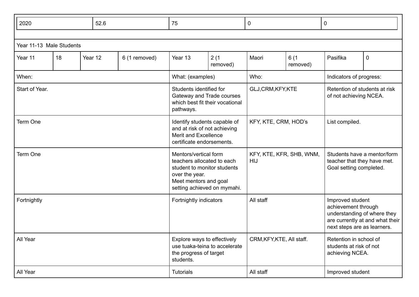| 2020                     |    |                                                                                                                                                              | 52.6 |                                 | 75               | $\mathbf 0$                                                                                                                              |       | 0                |          |                         |
|--------------------------|----|--------------------------------------------------------------------------------------------------------------------------------------------------------------|------|---------------------------------|------------------|------------------------------------------------------------------------------------------------------------------------------------------|-------|------------------|----------|-------------------------|
|                          |    |                                                                                                                                                              |      |                                 |                  |                                                                                                                                          |       |                  |          |                         |
| Year 11-13 Male Students |    |                                                                                                                                                              |      |                                 |                  |                                                                                                                                          |       |                  |          |                         |
| Year 11                  | 18 | Year 12                                                                                                                                                      |      | 6 (1 removed)                   | Year 13          | 2(1)<br>removed)                                                                                                                         | Maori | 6(1)<br>removed) | Pasifika | 0                       |
| When:                    |    |                                                                                                                                                              |      |                                 | What: (examples) |                                                                                                                                          | Who:  |                  |          | Indicators of progress: |
| Start of Year.           |    | Students identified for<br>Gateway and Trade courses<br>which best fit their vocational<br>pathways.                                                         |      | GLJ,CRM,KFY,KTE                 |                  | Retention of students at risk<br>of not achieving NCEA.                                                                                  |       |                  |          |                         |
| Term One                 |    | Identify students capable of<br>and at risk of not achieving<br>Merit and Excellence<br>certificate endorsements.                                            |      | KFY, KTE, CRM, HOD's            |                  | List compiled.                                                                                                                           |       |                  |          |                         |
| Term One                 |    | Mentors/vertical form<br>teachers allocated to each<br>student to monitor students<br>over the year.<br>Meet mentors and goal<br>setting achieved on mymahi. |      | KFY, KTE, KFR, SHB, WNM,<br>HIJ |                  | Students have a mentor/form<br>teacher that they have met.<br>Goal setting completed.                                                    |       |                  |          |                         |
| Fortnightly              |    | Fortnightly indicators                                                                                                                                       |      | All staff                       |                  | Improved student<br>achievement through<br>understanding of where they<br>are currently at and what their<br>next steps are as learners. |       |                  |          |                         |
| All Year                 |    | Explore ways to effectively<br>use tuaka-teina to accelerate<br>the progress of target<br>students.                                                          |      | CRM, KFY, KTE, All staff.       |                  | Retention in school of<br>students at risk of not<br>achieving NCEA.                                                                     |       |                  |          |                         |
| All Year                 |    | <b>Tutorials</b>                                                                                                                                             |      | All staff                       |                  | Improved student                                                                                                                         |       |                  |          |                         |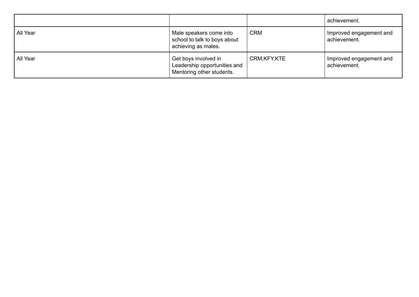|          |                                                                                   |               | achievement.                            |
|----------|-----------------------------------------------------------------------------------|---------------|-----------------------------------------|
| All Year | Male speakers come into<br>school to talk to boys about<br>achieving as males.    | <b>CRM</b>    | Improved engagement and<br>achievement. |
| All Year | Get boys involved in<br>Leadership opportunities and<br>Mentoring other students. | CRM, KFY, KTE | Improved engagement and<br>achievement. |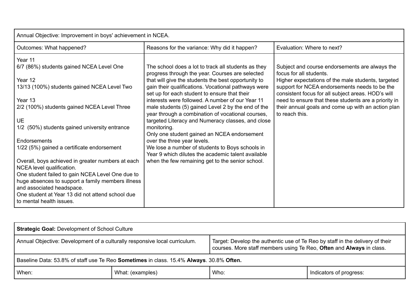| Annual Objective: Improvement in boys' achievement in NCEA.                                                                                                                                                        |                                                                                                         |                                                                                                     |  |  |  |  |
|--------------------------------------------------------------------------------------------------------------------------------------------------------------------------------------------------------------------|---------------------------------------------------------------------------------------------------------|-----------------------------------------------------------------------------------------------------|--|--|--|--|
| Outcomes: What happened?                                                                                                                                                                                           | Reasons for the variance: Why did it happen?                                                            | Evaluation: Where to next?                                                                          |  |  |  |  |
| Year 11                                                                                                                                                                                                            |                                                                                                         |                                                                                                     |  |  |  |  |
| 6/7 (86%) students gained NCEA Level One                                                                                                                                                                           | The school does a lot to track all students as they<br>progress through the year. Courses are selected  | Subject and course endorsements are always the<br>focus for all students.                           |  |  |  |  |
| Year 12                                                                                                                                                                                                            | that will give the students the best opportunity to                                                     | Higher expectations of the male students, targeted                                                  |  |  |  |  |
| 13/13 (100%) students gained NCEA Level Two                                                                                                                                                                        | gain their qualifications. Vocational pathways were<br>set up for each student to ensure that their     | support for NCEA endorsements needs to be the<br>consistent focus for all subject areas. HOD's will |  |  |  |  |
| Year 13                                                                                                                                                                                                            | interests were followed. A number of our Year 11                                                        | need to ensure that these students are a priority in                                                |  |  |  |  |
| 2/2 (100%) students gained NCEA Level Three                                                                                                                                                                        | male students (5) gained Level 2 by the end of the<br>year through a combination of vocational courses, | their annual goals and come up with an action plan<br>to reach this.                                |  |  |  |  |
| <b>UE</b>                                                                                                                                                                                                          | targeted Literacy and Numeracy classes, and close                                                       |                                                                                                     |  |  |  |  |
| 1/2 (50%) students gained university entrance                                                                                                                                                                      | monitoring.                                                                                             |                                                                                                     |  |  |  |  |
|                                                                                                                                                                                                                    | Only one student gained an NCEA endorsement                                                             |                                                                                                     |  |  |  |  |
| Endorsements                                                                                                                                                                                                       | over the three year levels.                                                                             |                                                                                                     |  |  |  |  |
| 1/22 (5%) gained a certificate endorsement                                                                                                                                                                         | We lose a number of students to Boys schools in                                                         |                                                                                                     |  |  |  |  |
|                                                                                                                                                                                                                    | Year 9 which dilutes the academic talent available                                                      |                                                                                                     |  |  |  |  |
| Overall, boys achieved in greater numbers at each<br>NCEA level qualification.                                                                                                                                     | when the few remaining get to the senior school.                                                        |                                                                                                     |  |  |  |  |
| One student failed to gain NCEA Level One due to<br>huge absences to support a family members illness<br>and associated headspace.<br>One student at Year 13 did not attend school due<br>to mental health issues. |                                                                                                         |                                                                                                     |  |  |  |  |

| <b>Strategic Goal: Development of School Culture</b>                                                                                                                                                                                |                  |      |                         |  |  |
|-------------------------------------------------------------------------------------------------------------------------------------------------------------------------------------------------------------------------------------|------------------|------|-------------------------|--|--|
| Annual Objective: Development of a culturally responsive local curriculum.<br>Target: Develop the authentic use of Te Reo by staff in the delivery of their<br>courses. More staff members using Te Reo, Often and Always in class. |                  |      |                         |  |  |
| Baseline Data: 53.8% of staff use Te Reo Sometimes in class. 15.4% Always. 30.8% Often.                                                                                                                                             |                  |      |                         |  |  |
| When:                                                                                                                                                                                                                               | What: (examples) | Who: | Indicators of progress: |  |  |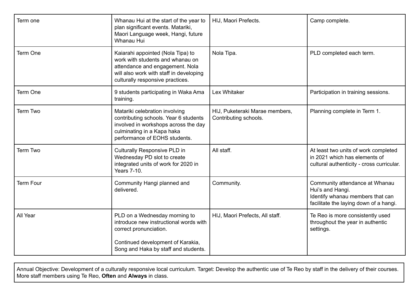| Term one         | Whanau Hui at the start of the year to<br>plan significant events. Matariki,<br>Maori Language week, Hangi, future<br>Whanau Hui                                                        | HIJ, Maori Prefects.                                    | Camp complete.                                                                                                                   |
|------------------|-----------------------------------------------------------------------------------------------------------------------------------------------------------------------------------------|---------------------------------------------------------|----------------------------------------------------------------------------------------------------------------------------------|
| Term One         | Kaiarahi appointed (Nola Tipa) to<br>work with students and whanau on<br>attendance and engagement. Nola<br>will also work with staff in developing<br>culturally responsive practices. | Nola Tipa.                                              | PLD completed each term.                                                                                                         |
| Term One         | 9 students participating in Waka Ama<br>training.                                                                                                                                       | <b>Lex Whitaker</b>                                     | Participation in training sessions.                                                                                              |
| <b>Term Two</b>  | Matariki celebration involving<br>contributing schools. Year 6 students<br>involved in workshops across the day<br>culminating in a Kapa haka<br>performance of EOHS students.          | HIJ, Puketeraki Marae members,<br>Contributing schools. | Planning complete in Term 1.                                                                                                     |
| <b>Term Two</b>  | Culturally Responsive PLD in<br>Wednesday PD slot to create<br>integrated units of work for 2020 in<br>Years 7-10.                                                                      | All staff.                                              | At least two units of work completed<br>in 2021 which has elements of<br>cultural authenticity - cross curricular.               |
| <b>Term Four</b> | Community Hangi planned and<br>delivered.                                                                                                                                               | Community.                                              | Community attendance at Whanau<br>Hui's and Hangi.<br>Identify whanau members that can<br>facilitate the laying down of a hangi. |
| All Year         | PLD on a Wednesday morning to<br>introduce new instructional words with<br>correct pronunciation.<br>Continued development of Karakia,                                                  | HIJ, Maori Prefects, All staff.                         | Te Reo is more consistently used<br>throughout the year in authentic<br>settings.                                                |
|                  | Song and Haka by staff and students.                                                                                                                                                    |                                                         |                                                                                                                                  |

Annual Objective: Development of a culturally responsive local curriculum. Target: Develop the authentic use of Te Reo by staff in the delivery of their courses. More staff members using Te Reo, **Often** and **Always** in class.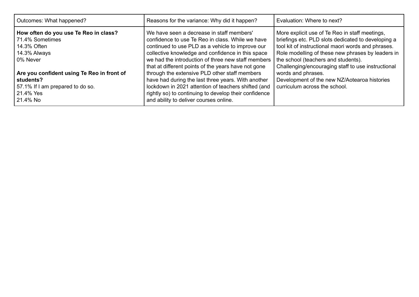| Outcomes: What happened?                                                                                                                                                                           | Reasons for the variance: Why did it happen?                                                                                                                                                                                                                                                                                                                                                                                                                                      | Evaluation: Where to next?                                                                                                                                                                                                                                                                                                                                                                                          |
|----------------------------------------------------------------------------------------------------------------------------------------------------------------------------------------------------|-----------------------------------------------------------------------------------------------------------------------------------------------------------------------------------------------------------------------------------------------------------------------------------------------------------------------------------------------------------------------------------------------------------------------------------------------------------------------------------|---------------------------------------------------------------------------------------------------------------------------------------------------------------------------------------------------------------------------------------------------------------------------------------------------------------------------------------------------------------------------------------------------------------------|
| How often do you use Te Reo in class?<br>71.4% Sometimes<br>14.3% Often<br>14.3% Always<br>0% Never<br>Are you confident using Te Reo in front of<br>students?<br>57.1% If I am prepared to do so. | We have seen a decrease in staff members'<br>confidence to use Te Reo in class. While we have<br>continued to use PLD as a vehicle to improve our<br>collective knowledge and confidence in this space<br>we had the introduction of three new staff members<br>that at different points of the years have not gone<br>through the extensive PLD other staff members<br>have had during the last three years. With another<br>lockdown in 2021 attention of teachers shifted (and | More explicit use of Te Reo in staff meetings,<br>briefings etc. PLD slots dedicated to developing a<br>tool kit of instructional maori words and phrases.<br>Role modelling of these new phrases by leaders in<br>the school (teachers and students).<br>Challenging/encouraging staff to use instructional<br>words and phrases.<br>Development of the new NZ/Aotearoa histories<br>curriculum across the school. |
| l 21.4% Yes<br>  21.4% No                                                                                                                                                                          | rightly so) to continuing to develop their confidence<br>and ability to deliver courses online.                                                                                                                                                                                                                                                                                                                                                                                   |                                                                                                                                                                                                                                                                                                                                                                                                                     |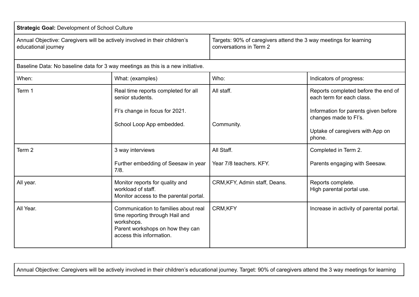| <b>Strategic Goal: Development of School Culture</b>                                              |                                                                                                                                                       |                                                                                              |                                                                                                             |  |  |  |
|---------------------------------------------------------------------------------------------------|-------------------------------------------------------------------------------------------------------------------------------------------------------|----------------------------------------------------------------------------------------------|-------------------------------------------------------------------------------------------------------------|--|--|--|
| Annual Objective: Caregivers will be actively involved in their children's<br>educational journey |                                                                                                                                                       | Targets: 90% of caregivers attend the 3 way meetings for learning<br>conversations in Term 2 |                                                                                                             |  |  |  |
| Baseline Data: No baseline data for 3 way meetings as this is a new initiative.                   |                                                                                                                                                       |                                                                                              |                                                                                                             |  |  |  |
| When:                                                                                             | What: (examples)                                                                                                                                      | Who:                                                                                         | Indicators of progress:                                                                                     |  |  |  |
| Term 1                                                                                            | Real time reports completed for all<br>senior students.                                                                                               | All staff.                                                                                   | Reports completed before the end of<br>each term for each class.                                            |  |  |  |
|                                                                                                   | Fl's change in focus for 2021.<br>School Loop App embedded.                                                                                           |                                                                                              | Information for parents given before<br>changes made to Fl's.<br>Uptake of caregivers with App on<br>phone. |  |  |  |
| Term 2                                                                                            | 3 way interviews                                                                                                                                      | All Staff.                                                                                   | Completed in Term 2.                                                                                        |  |  |  |
|                                                                                                   | Further embedding of Seesaw in year<br>7/8.                                                                                                           | Year 7/8 teachers. KFY.                                                                      | Parents engaging with Seesaw.                                                                               |  |  |  |
| All year.                                                                                         | Monitor reports for quality and<br>workload of staff.<br>Monitor access to the parental portal.                                                       | CRM, KFY, Admin staff, Deans.                                                                | Reports complete.<br>High parental portal use.                                                              |  |  |  |
| All Year.                                                                                         | Communication to families about real<br>time reporting through Hail and<br>workshops.<br>Parent workshops on how they can<br>access this information. | <b>CRM,KFY</b>                                                                               | Increase in activity of parental portal.                                                                    |  |  |  |

Annual Objective: Caregivers will be actively involved in their children's educational journey. Target: 90% of caregivers attend the 3 way meetings for learning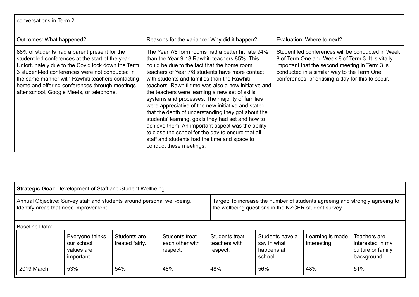| conversations in Term 2 |  |  |  |
|-------------------------|--|--|--|
|-------------------------|--|--|--|

| Outcomes: What happened?                                                                                                                                                                                                                                                                                                                                     | Reasons for the variance: Why did it happen?                                                                                                                                                                                                                                                                                                                                                                                                                                                                                                                                                                                                                                                                                                                             | Evaluation: Where to next?                                                                                                                                                                                                                                   |
|--------------------------------------------------------------------------------------------------------------------------------------------------------------------------------------------------------------------------------------------------------------------------------------------------------------------------------------------------------------|--------------------------------------------------------------------------------------------------------------------------------------------------------------------------------------------------------------------------------------------------------------------------------------------------------------------------------------------------------------------------------------------------------------------------------------------------------------------------------------------------------------------------------------------------------------------------------------------------------------------------------------------------------------------------------------------------------------------------------------------------------------------------|--------------------------------------------------------------------------------------------------------------------------------------------------------------------------------------------------------------------------------------------------------------|
| 88% of students had a parent present for the<br>student led conferences at the start of the year.<br>Unfortunately due to the Covid lock down the Term<br>3 student-led conferences were not conducted in<br>the same manner with Rawhiti teachers contacting<br>home and offering conferences through meetings<br>after school, Google Meets, or telephone. | The Year 7/8 form rooms had a better hit rate 94%<br>than the Year 9-13 Rawhiti teachers 85%. This<br>could be due to the fact that the home room<br>teachers of Year 7/8 students have more contact<br>with students and families than the Rawhiti<br>teachers. Rawhiti time was also a new initiative and<br>the teachers were learning a new set of skills,<br>systems and processes. The majority of families<br>were appreciative of the new initiative and stated<br>that the depth of understanding they got about the<br>students' learning, goals they had set and how to<br>achieve them. An important aspect was the ability<br>to close the school for the day to ensure that all<br>staff and students had the time and space to<br>conduct these meetings. | Student led conferences will be conducted in Week<br>8 of Term One and Week 8 of Term 3. It is vitally<br>important that the second meeting in Term 3 is<br>conducted in a similar way to the Term One<br>conferences, prioritising a day for this to occur. |

| <b>Strategic Goal: Development of Staff and Student Wellbeing</b>                                                |                                                           |                                 |                                                                                                                                      |                                             |                                                         |                                 |                                                                      |
|------------------------------------------------------------------------------------------------------------------|-----------------------------------------------------------|---------------------------------|--------------------------------------------------------------------------------------------------------------------------------------|---------------------------------------------|---------------------------------------------------------|---------------------------------|----------------------------------------------------------------------|
| Annual Objective: Survey staff and students around personal well-being.<br>Identify areas that need improvement. |                                                           |                                 | Target: To increase the number of students agreeing and strongly agreeing to<br>the wellbeing questions in the NZCER student survey. |                                             |                                                         |                                 |                                                                      |
| l Baseline Data:                                                                                                 |                                                           |                                 |                                                                                                                                      |                                             |                                                         |                                 |                                                                      |
|                                                                                                                  | Everyone thinks<br>our school<br>values are<br>important. | Students are<br>treated fairly. | Students treat<br>each other with<br>respect.                                                                                        | Students treat<br>teachers with<br>respect. | Students have a<br>say in what<br>happens at<br>school. | Learning is made<br>interesting | Teachers are<br>interested in my<br>culture or family<br>background. |
| 2019 March                                                                                                       | 53%                                                       | 54%                             | 48%                                                                                                                                  | 48%                                         | 56%                                                     | 48%                             | 51%                                                                  |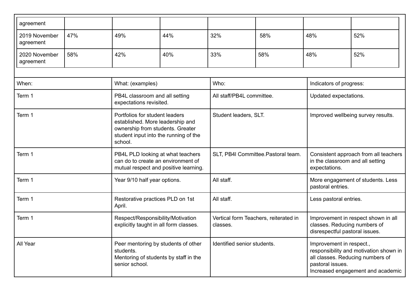| agreement                  |                                                                                                                                                                                     |                                                           |                                                   |                           |                                                                                                                                                                 |                                                        |     |
|----------------------------|-------------------------------------------------------------------------------------------------------------------------------------------------------------------------------------|-----------------------------------------------------------|---------------------------------------------------|---------------------------|-----------------------------------------------------------------------------------------------------------------------------------------------------------------|--------------------------------------------------------|-----|
| 2019 November<br>agreement | 47%                                                                                                                                                                                 | 49%                                                       | 44%                                               | 32%                       | 58%                                                                                                                                                             | 48%                                                    | 52% |
| 2020 November<br>agreement | 58%                                                                                                                                                                                 | 42%                                                       | 40%                                               | 33%                       | 58%                                                                                                                                                             | 48%                                                    | 52% |
|                            |                                                                                                                                                                                     |                                                           |                                                   |                           |                                                                                                                                                                 |                                                        |     |
| When:                      |                                                                                                                                                                                     | What: (examples)                                          |                                                   | Who:                      |                                                                                                                                                                 | Indicators of progress:                                |     |
| Term 1                     |                                                                                                                                                                                     | PB4L classroom and all setting<br>expectations revisited. |                                                   | All staff/PB4L committee. |                                                                                                                                                                 | Updated expectations.                                  |     |
| Term 1                     | Portfolios for student leaders<br>Student leaders, SLT.<br>established. More leadership and<br>ownership from students. Greater<br>student input into the running of the<br>school. |                                                           | Improved wellbeing survey results.                |                           |                                                                                                                                                                 |                                                        |     |
| Term 1                     | PB4L PLD looking at what teachers<br>can do to create an environment of<br>mutual respect and positive learning.                                                                    |                                                           | SLT, PB4I Committee. Pastoral team.               |                           | Consistent approach from all teachers<br>in the classroom and all setting<br>expectations.                                                                      |                                                        |     |
| Term 1                     |                                                                                                                                                                                     | Year 9/10 half year options.                              |                                                   | All staff.                |                                                                                                                                                                 | More engagement of students. Less<br>pastoral entries. |     |
| Term 1                     |                                                                                                                                                                                     | Restorative practices PLD on 1st<br>April.                |                                                   | All staff.                |                                                                                                                                                                 | Less pastoral entries.                                 |     |
| Term 1                     | Respect/Responsibility/Motivation<br>explicitly taught in all form classes.                                                                                                         |                                                           | Vertical form Teachers, reiterated in<br>classes. |                           | Improvement in respect shown in all<br>classes. Reducing numbers of<br>disrespectful pastoral issues.                                                           |                                                        |     |
| All Year                   | Peer mentoring by students of other<br>students.<br>Mentoring of students by staff in the<br>senior school.                                                                         |                                                           | Identified senior students.                       |                           | Improvement in respect.,<br>responsibility and motivation shown in<br>all classes. Reducing numbers of<br>pastoral issues.<br>Increased engagement and academic |                                                        |     |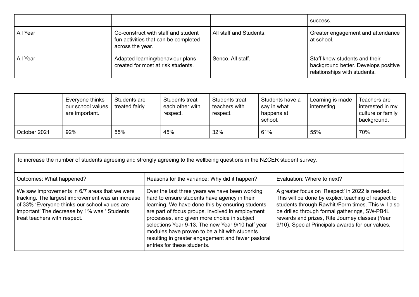|          |                                                                                                 |                         | success.                                                                                              |
|----------|-------------------------------------------------------------------------------------------------|-------------------------|-------------------------------------------------------------------------------------------------------|
| All Year | Co-construct with staff and student<br>fun activities that can be completed<br>across the year. | All staff and Students. | Greater engagement and attendance<br>at school.                                                       |
| All Year | Adapted learning/behaviour plans<br>created for most at risk students.                          | Senco, All staff.       | Staff know students and their<br>background better. Develops positive<br>relationships with students. |

|              | Everyone thinks<br>our school values<br>are important. | Students are<br>treated fairly. | Students treat<br>each other with<br>respect. | <b>Students treat</b><br>l teachers with<br>respect. | Students have a<br>say in what<br>happens at<br>school. | Learning is made<br>interesting | Teachers are<br>interested in my<br>culture or family<br>background. |
|--------------|--------------------------------------------------------|---------------------------------|-----------------------------------------------|------------------------------------------------------|---------------------------------------------------------|---------------------------------|----------------------------------------------------------------------|
| October 2021 | 92%                                                    | 55%                             | 45%                                           | 32%                                                  | 61%                                                     | 55%                             | 70%                                                                  |

| To increase the number of students agreeing and strongly agreeing to the wellbeing questions in the NZCER student survey.                                                                                                           |                                                                                                                                                                                                                                                                                                                                                                                                                                                  |                                                                                                                                                                                                                                                                                                                       |  |  |  |
|-------------------------------------------------------------------------------------------------------------------------------------------------------------------------------------------------------------------------------------|--------------------------------------------------------------------------------------------------------------------------------------------------------------------------------------------------------------------------------------------------------------------------------------------------------------------------------------------------------------------------------------------------------------------------------------------------|-----------------------------------------------------------------------------------------------------------------------------------------------------------------------------------------------------------------------------------------------------------------------------------------------------------------------|--|--|--|
| Outcomes: What happened?                                                                                                                                                                                                            | Reasons for the variance: Why did it happen?                                                                                                                                                                                                                                                                                                                                                                                                     | Evaluation: Where to next?                                                                                                                                                                                                                                                                                            |  |  |  |
| We saw improvements in 6/7 areas that we were<br>tracking. The largest improvement was an increase<br>of 33% 'Everyone thinks our school values are<br>important' The decrease by 1% was ' Students<br>treat teachers with respect. | Over the last three years we have been working<br>hard to ensure students have agency in their<br>learning. We have done this by ensuring students<br>are part of focus groups, involved in employment<br>processes, and given more choice in subject<br>selections Year 9-13. The new Year 9/10 half year<br>modules have proven to be a hit with students<br>resulting in greater engagement and fewer pastoral<br>entries for these students. | A greater focus on 'Respect' in 2022 is needed.<br>This will be done by explicit teaching of respect to<br>students through Rawhiti/Form times. This will also<br>be drilled through formal gatherings, SW-PB4L<br>rewards and prizes, Rite Journey classes (Year<br>9/10). Special Principals awards for our values. |  |  |  |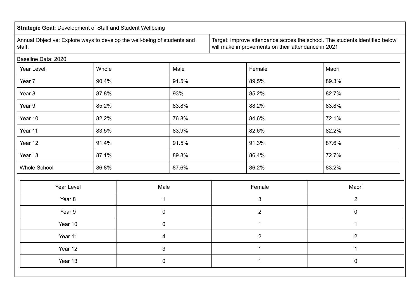| <b>Strategic Goal: Development of Staff and Student Wellbeing</b>                  |       |                         |       |                                                                                                                                   |                |                |
|------------------------------------------------------------------------------------|-------|-------------------------|-------|-----------------------------------------------------------------------------------------------------------------------------------|----------------|----------------|
| Annual Objective: Explore ways to develop the well-being of students and<br>staff. |       |                         |       | Target: Improve attendance across the school. The students identified below<br>will make improvements on their attendance in 2021 |                |                |
| Baseline Data: 2020                                                                |       |                         |       |                                                                                                                                   |                |                |
| Year Level                                                                         | Whole |                         | Male  |                                                                                                                                   | Female         | Maori          |
| Year 7                                                                             | 90.4% |                         | 91.5% |                                                                                                                                   | 89.5%          | 89.3%          |
| Year <sub>8</sub>                                                                  | 87.8% |                         | 93%   |                                                                                                                                   | 85.2%          | 82.7%          |
| Year 9                                                                             | 85.2% |                         | 83.8% |                                                                                                                                   | 88.2%          | 83.8%          |
| Year 10                                                                            | 82.2% |                         | 76.8% |                                                                                                                                   | 84.6%          | 72.1%          |
| Year 11                                                                            | 83.5% |                         | 83.9% |                                                                                                                                   | 82.6%          | 82.2%          |
| Year 12                                                                            | 91.4% |                         | 91.5% |                                                                                                                                   | 91.3%          | 87.6%          |
| Year 13                                                                            | 87.1% |                         | 89.8% |                                                                                                                                   | 86.4%          | 72.7%          |
| <b>Whole School</b>                                                                | 86.8% |                         | 87.6% |                                                                                                                                   | 86.2%          | 83.2%          |
|                                                                                    |       |                         |       |                                                                                                                                   |                |                |
| <b>Year Level</b>                                                                  |       | Male                    |       |                                                                                                                                   | Female         | Maori          |
| Year <sub>8</sub>                                                                  |       | 1                       |       |                                                                                                                                   | $\mathfrak{S}$ | $\overline{2}$ |
| Year 9                                                                             |       | $\pmb{0}$               |       |                                                                                                                                   | $\overline{2}$ | $\mathbf 0$    |
| Year 10                                                                            |       | $\mathbf 0$             |       |                                                                                                                                   | $\mathbf{1}$   | $\mathbf{1}$   |
| Year 11                                                                            |       | $\overline{\mathbf{4}}$ |       |                                                                                                                                   | $\overline{2}$ | $\overline{2}$ |
| Year 12                                                                            |       | $\mathfrak{S}$          |       |                                                                                                                                   | 1              | $\mathbf{1}$   |
| Year 13                                                                            |       | $\mathbf 0$             |       |                                                                                                                                   | $\mathbf{1}$   | $\mathbf 0$    |
|                                                                                    |       |                         |       |                                                                                                                                   |                |                |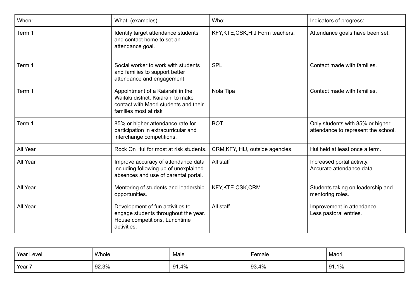| When:    | What: (examples)                                                                                                                         | Who:                              | Indicators of progress:                                                 |
|----------|------------------------------------------------------------------------------------------------------------------------------------------|-----------------------------------|-------------------------------------------------------------------------|
| Term 1   | Identify target attendance students<br>and contact home to set an<br>attendance goal.                                                    | KFY, KTE, CSK, HIJ Form teachers. | Attendance goals have been set.                                         |
| Term 1   | Social worker to work with students<br>and families to support better<br>attendance and engagement.                                      | <b>SPL</b>                        | Contact made with families.                                             |
| Term 1   | Appointment of a Kaiarahi in the<br>Waitaki district. Kajarahi to make<br>contact with Maori students and their<br>families most at risk | Nola Tipa                         | Contact made with families.                                             |
| Term 1   | 85% or higher attendance rate for<br>participation in extracurricular and<br>interchange competitions.                                   | <b>BOT</b>                        | Only students with 85% or higher<br>attendance to represent the school. |
| All Year | Rock On Hui for most at risk students.                                                                                                   | CRM, KFY, HIJ, outside agencies.  | Hui held at least once a term.                                          |
| All Year | Improve accuracy of attendance data<br>including following up of unexplained<br>absences and use of parental portal.                     | All staff                         | Increased portal activity.<br>Accurate attendance data.                 |
| All Year | Mentoring of students and leadership<br>opportunities.                                                                                   | KFY,KTE,CSK,CRM                   | Students taking on leadership and<br>mentoring roles.                   |
| All Year | Development of fun activities to<br>engage students throughout the year.<br>House competitions, Lunchtime<br>activities.                 | All staff                         | Improvement in attendance.<br>Less pastoral entries.                    |

| Year Level | Whole | Male  | Female | Maori |
|------------|-------|-------|--------|-------|
| Year 7     | 92.3% | 91.4% | 93.4%  | 91.1% |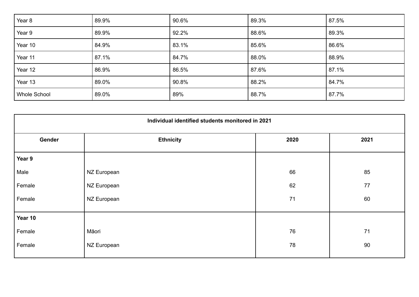| Year 8              | 89.9% | 90.6% | 89.3% | 87.5% |
|---------------------|-------|-------|-------|-------|
| Year 9              | 89.9% | 92.2% | 88.6% | 89.3% |
| Year 10             | 84.9% | 83.1% | 85.6% | 86.6% |
| Year 11             | 87.1% | 84.7% | 88.0% | 88.9% |
| Year 12             | 86.9% | 86.5% | 87.6% | 87.1% |
| Year 13             | 89.0% | 90.8% | 88.2% | 84.7% |
| <b>Whole School</b> | 89.0% | 89%   | 88.7% | 87.7% |

| Individual identified students monitored in 2021 |                  |      |      |  |  |
|--------------------------------------------------|------------------|------|------|--|--|
| Gender                                           | <b>Ethnicity</b> | 2020 | 2021 |  |  |
| Year 9                                           |                  |      |      |  |  |
| Male                                             | NZ European      | 66   | 85   |  |  |
| Female                                           | NZ European      | 62   | 77   |  |  |
| Female                                           | NZ European      | 71   | 60   |  |  |
| Year 10                                          |                  |      |      |  |  |
| Female                                           | Māori            | 76   | 71   |  |  |
| Female                                           | NZ European      | 78   | 90   |  |  |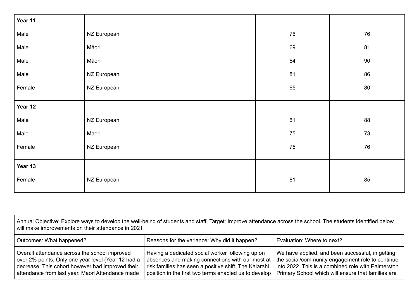| Year 11 |             |    |        |
|---------|-------------|----|--------|
| Male    | NZ European | 76 | 76     |
| Male    | Māori       | 69 | 81     |
| Male    | Māori       | 64 | $90\,$ |
| Male    | NZ European | 81 | 86     |
| Female  | NZ European | 65 | 80     |
|         |             |    |        |
| Year 12 |             |    |        |
| Male    | NZ European | 61 | 88     |
| Male    | Māori       | 75 | 73     |
| Female  | NZ European | 75 | 76     |
|         |             |    |        |
| Year 13 |             |    |        |
| Female  | NZ European | 81 | 85     |

Annual Objective: Explore ways to develop the well-being of students and staff. Target: Improve attendance across the school. The students identified below will make improvements on their attendance in 2021 Outcomes: What happened? The Reasons for the variance: Why did it happen? Evaluation: Where to next? Overall attendance across the school improved over 2% points. Only one year level (Year 12 had a decrease. This cohort however had improved their attendance from last year. Maori Attendance made Having a dedicated social worker following up on absences and making connections with our most at risk families has seen a positive shift. The Kaiarahi position in the first two terms enabled us to develop We have applied, and been successful, in getting the social/community engagement role to continue into 2022. This is a combined role with Palmerston Primary School which will ensure that families are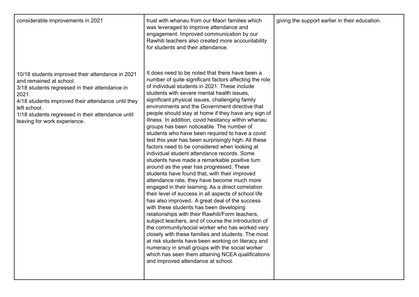| considerable improvements in 2021                                                                                                                                                                                                                                                                 | trust with whanau from our Maori families which<br>was leveraged to improve attendance and<br>engagement. Improved communication by our<br>Rawhiti teachers also created more accountability<br>for students and their attendance.                                                                                                                                                                                                                                                                                                                                                                                                                                                                                                                                                                                                                                                                                                                                                                                                                                                                                                                                                                                                                                                                                                                                                                                                                                                                                 | giving the support earlier in their education. |
|---------------------------------------------------------------------------------------------------------------------------------------------------------------------------------------------------------------------------------------------------------------------------------------------------|--------------------------------------------------------------------------------------------------------------------------------------------------------------------------------------------------------------------------------------------------------------------------------------------------------------------------------------------------------------------------------------------------------------------------------------------------------------------------------------------------------------------------------------------------------------------------------------------------------------------------------------------------------------------------------------------------------------------------------------------------------------------------------------------------------------------------------------------------------------------------------------------------------------------------------------------------------------------------------------------------------------------------------------------------------------------------------------------------------------------------------------------------------------------------------------------------------------------------------------------------------------------------------------------------------------------------------------------------------------------------------------------------------------------------------------------------------------------------------------------------------------------|------------------------------------------------|
| 10/18 students improved their attendance in 2021<br>and remained at school.<br>3/18 students regressed in their attendance in<br>2021.<br>4/18 students improved their attendance until they<br>left school.<br>1/18 students regressed in their attendance until<br>leaving for work experience. | It does need to be noted that there have been a<br>number of quite significant factors affecting the role<br>of individual students in 2021. These include<br>students with severe mental health issues,<br>significant physical issues, challenging family<br>environments and the Government directive that<br>people should stay at home if they have any sign of<br>illness. In addition, covid hesitancy within whanau<br>groups has been noticeable. The number of<br>students who have been required to have a covid<br>test this year has been surprisingly high. All these<br>factors need to be considered when looking at<br>individual student attendance records. Some<br>students have made a remarkable positive turn<br>around as the year has progressed. These<br>students have found that, with their improved<br>attendance rate, they have become much more<br>engaged in their learning. As a direct correlation<br>their level of success in all aspects of school life<br>has also improved. A great deal of the success<br>with these students has been developing<br>relationships with their Rawhiti/Form teachers,<br>subject teachers, and of course the introduction of<br>the community/social worker who has worked very<br>closely with these families and students. The most<br>at risk students have been working on literacy and<br>numeracy in small groups with the social worker<br>which has seen them attaining NCEA qualifications<br>and improved attendance at school. |                                                |